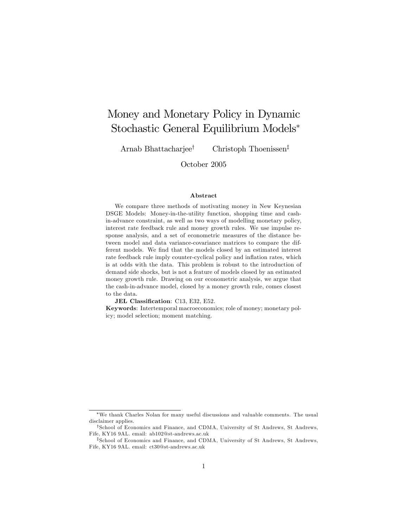# Money and Monetary Policy in Dynamic Stochastic General Equilibrium Models

Arnab Bhattacharjee<sup>†</sup> Christoph Thoenissen<sup>‡</sup>

October 2005

#### Abstract

We compare three methods of motivating money in New Keynesian DSGE Models: Money-in-the-utility function, shopping time and cashin-advance constraint, as well as two ways of modelling monetary policy, interest rate feedback rule and money growth rules. We use impulse response analysis, and a set of econometric measures of the distance between model and data variance-covariance matrices to compare the different models. We find that the models closed by an estimated interest rate feedback rule imply counter-cyclical policy and inflation rates, which is at odds with the data. This problem is robust to the introduction of demand side shocks, but is not a feature of models closed by an estimated money growth rule. Drawing on our econometric analysis, we argue that the cash-in-advance model, closed by a money growth rule, comes closest to the data.

JEL Classification: C13, E32, E52.

Keywords: Intertemporal macroeconomics; role of money; monetary policy; model selection; moment matching.

We thank Charles Nolan for many useful discussions and valuable comments. The usual disclaimer applies.

<sup>&</sup>lt;sup>†</sup>School of Economics and Finance, and CDMA, University of St Andrews, St Andrews, Fife, KY16 9AL. email: ab102@st-andrews.ac.uk

<sup>&</sup>lt;sup>‡</sup>School of Economics and Finance, and CDMA, University of St Andrews, St Andrews, Fife, KY16 9AL. email: ct30@st-andrews.ac.uk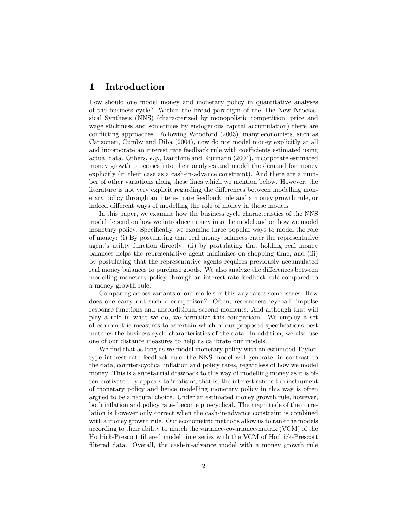### 1 Introduction

How should one model money and monetary policy in quantitative analyses of the business cycle? Within the broad paradigm of the The New Neoclassical Synthesis (NNS) (characterized by monopolistic competition, price and wage stickiness and sometimes by endogenous capital accumulation) there are conflicting approaches. Following Woodford (2003), many economists, such as Canzoneri, Cumby and Diba (2004), now do not model money explicitly at all and incorporate an interest rate feedback rule with coefficients estimated using actual data. Others, e.g., Danthine and Kurmann (2004), incorporate estimated money growth processes into their analyses and model the demand for money explicitly (in their case as a cash-in-advance constraint). And there are a number of other variations along these lines which we mention below. However, the literature is not very explicit regarding the differences between modelling monetary policy through an interest rate feedback rule and a money growth rule, or indeed different ways of modelling the role of money in these models.

In this paper, we examine how the business cycle characteristics of the NNS model depend on how we introduce money into the model and on how we model monetary policy. Specifically, we examine three popular ways to model the role of money: (i) By postulating that real money balances enter the representative agent's utility function directly; (ii) by postulating that holding real money balances helps the representative agent minimizes on shopping time, and (iii) by postulating that the representative agents requires previously accumulated real money balances to purchase goods. We also analyze the differences between modelling monetary policy through an interest rate feedback rule compared to a money growth rule.

Comparing across variants of our models in this way raises some issues. How does one carry out such a comparison? Often, researchers 'eyeball' impulse response functions and unconditional second moments. And although that will play a role in what we do, we formalize this comparison. We employ a set of econometric measures to ascertain which of our proposed specifications best matches the business cycle characteristics of the data. In addition, we also use one of our distance measures to help us calibrate our models.

We find that as long as we model monetary policy with an estimated Taylortype interest rate feedback rule, the NNS model will generate, in contrast to the data, counter-cyclical ináation and policy rates, regardless of how we model money. This is a substantial drawback to this way of modelling money as it is often motivated by appeals to 'realism'; that is, the interest rate is the instrument of monetary policy and hence modelling monetary policy in this way is often argued to be a natural choice. Under an estimated money growth rule, however, both ináation and policy rates become pro-cyclical. The magnitude of the correlation is however only correct when the cash-in-advance constraint is combined with a money growth rule. Our econometric methods allow us to rank the models according to their ability to match the variance-covariance-matrix (VCM) of the Hodrick-Prescott filtered model time series with the VCM of Hodrick-Prescott filtered data. Overall, the cash-in-advance model with a money growth rule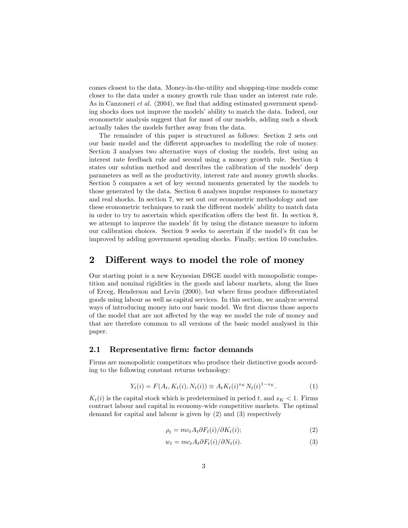comes closest to the data. Money-in-the-utility and shopping-time models come closer to the data under a money growth rule than under an interest rate rule. As in Canzoneri *et al.*  $(2004)$ , we find that adding estimated government spending shocks does not improve the models' ability to match the data. Indeed, our econometric analysis suggest that for most of our models, adding such a shock actually takes the models further away from the data.

The remainder of this paper is structured as follows: Section 2 sets out our basic model and the different approaches to modelling the role of money. Section 3 analyses two alternative ways of closing the models, first using an interest rate feedback rule and second using a money growth rule. Section 4 states our solution method and describes the calibration of the models' deep parameters as well as the productivity, interest rate and money growth shocks. Section 5 compares a set of key second moments generated by the models to those generated by the data. Section 6 analyses impulse responses to monetary and real shocks. In section 7, we set out our econometric methodology and use these econometric techniques to rank the different models' ability to match data in order to try to ascertain which specification offers the best fit. In section  $8$ , we attempt to improve the models' fit by using the distance measure to inform our calibration choices. Section 9 seeks to ascertain if the model's fit can be improved by adding government spending shocks. Finally, section 10 concludes.

### 2 Different ways to model the role of money

Our starting point is a new Keynesian DSGE model with monopolistic competition and nominal rigidities in the goods and labour markets, along the lines of Erceg, Henderson and Levin (2000), but where firms produce differentiated goods using labour as well as capital services. In this section, we analyze several ways of introducing money into our basic model. We first discuss those aspects of the model that are not affected by the way we model the role of money and that are therefore common to all versions of the basic model analysed in this paper.

#### 2.1 Representative firm: factor demands

Firms are monopolistic competitors who produce their distinctive goods according to the following constant returns technology:

$$
Y_t(i) = F(A_t, K_t(i), N_t(i)) \equiv A_t K_t(i)^{s_K} N_t(i)^{1 - s_K}.
$$
 (1)

 $K_t(i)$  is the capital stock which is predetermined in period t, and  $s_K < 1$ . Firms contract labour and capital in economy-wide competitive markets. The optimal demand for capital and labour is given by (2) and (3) respectively

$$
\rho_t = mc_t A_t \partial F_t(i) / \partial K_t(i); \tag{2}
$$

$$
w_t = mc_t A_t \partial F_t(i) / \partial N_t(i). \tag{3}
$$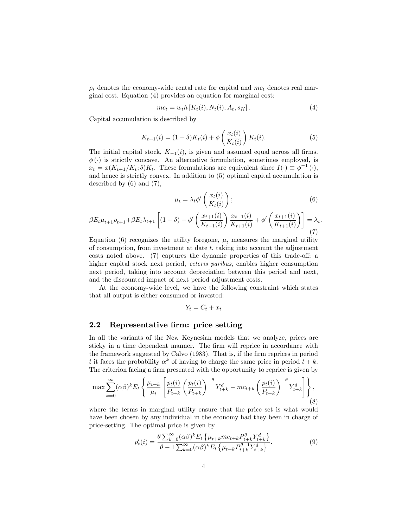$\rho_t$  denotes the economy-wide rental rate for capital and  $mc_t$  denotes real marginal cost. Equation (4) provides an equation for marginal cost:

$$
mc_t = w_t h \left[ K_t(i), N_t(i); A_t, s_K \right]. \tag{4}
$$

Capital accumulation is described by

$$
K_{t+1}(i) = (1 - \delta)K_t(i) + \phi\left(\frac{x_t(i)}{K_t(i)}\right)K_t(i).
$$
 (5)

The initial capital stock,  $K_{-1}(i)$ , is given and assumed equal across all firms.  $\phi(\cdot)$  is strictly concave. An alternative formulation, sometimes employed, is  $x_t = x(K_{t+1}/K_t; \delta)K_t$ . These formulations are equivalent since  $I(\cdot) \equiv \phi^{-1}(\cdot),$ and hence is strictly convex. In addition to (5) optimal capital accumulation is described by (6) and (7),

$$
\mu_t = \lambda_t \phi' \left( \frac{x_t(i)}{K_t(i)} \right); \tag{6}
$$

$$
\beta E_t \mu_{t+1} \rho_{t+1} + \beta E_t \lambda_{t+1} \left[ (1 - \delta) - \phi' \left( \frac{x_{t+1}(i)}{K_{t+1}(i)} \right) \frac{x_{t+1}(i)}{K_{t+1}(i)} + \phi' \left( \frac{x_{t+1}(i)}{K_{t+1}(i)} \right) \right] = \lambda_t.
$$
\n(7)

Equation (6) recognizes the utility foregone,  $\mu_t$  measures the marginal utility of consumption, from investment at date  $t$ , taking into account the adjustment  $costs$  noted above.  $(7)$  captures the dynamic properties of this trade-off; a higher capital stock next period, ceteris paribus, enables higher consumption next period, taking into account depreciation between this period and next, and the discounted impact of next period adjustment costs.

At the economy-wide level, we have the following constraint which states that all output is either consumed or invested:

$$
Y_t = C_t + x_t
$$

### 2.2 Representative firm: price setting

In all the variants of the New Keynesian models that we analyze, prices are sticky in a time dependent manner. The firm will reprice in accordance with the framework suggested by Calvo (1983). That is, if the Örm reprices in period t it faces the probability  $\alpha^k$  of having to charge the same price in period  $t + k$ . The criterion facing a firm presented with the opportunity to reprice is given by

$$
\max \sum_{k=0}^{\infty} (\alpha \beta)^k E_t \left\{ \frac{\mu_{t+k}}{\mu_t} \left[ \frac{p_t(i)}{P_{t+k}} \left( \frac{p_t(i)}{P_{t+k}} \right)^{-\theta} Y_{t+k}^d - mc_{t+k} \left( \frac{p_t(i)}{P_{t+k}} \right)^{-\theta} Y_{t+k}^d \right] \right\},\tag{8}
$$

where the terms in marginal utility ensure that the price set is what would have been chosen by any individual in the economy had they been in charge of price-setting. The optimal price is given by

$$
p'_t(i) = \frac{\theta \sum_{k=0}^{\infty} (\alpha \beta)^k E_t \left\{ \mu_{t+k} m c_{t+k} P_{t+k}^{\theta} Y_{t+k}^d \right\}}{\theta - 1 \sum_{k=0}^{\infty} (\alpha \beta)^k E_t \left\{ \mu_{t+k} P_{t+k}^{\theta - 1} Y_{t+k}^d \right\}}.
$$
(9)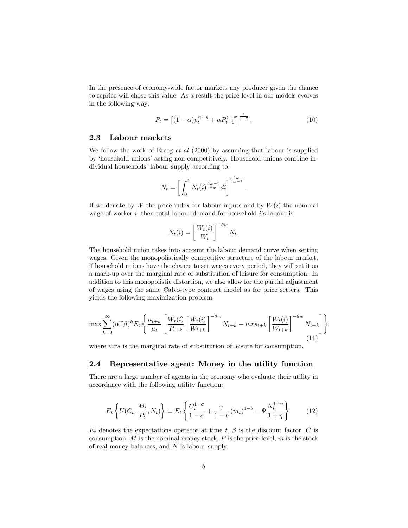In the presence of economy-wide factor markets any producer given the chance to reprice will chose this value. As a result the price-level in our models evolves in the following way:

$$
P_t = \left[ (1 - \alpha) p_t^{\prime 1 - \theta} + \alpha P_{t-1}^{1 - \theta} \right]^{\frac{1}{1 - \theta}}.
$$
 (10)

:

#### 2.3 Labour markets

We follow the work of Erceg  $et \, al \, (2000)$  by assuming that labour is supplied by 'household unions' acting non-competitively. Household unions combine individual households' labour supply according to:

$$
N_t = \left[ \int_0^1 N_t(i)^{\frac{\theta_w - 1}{\theta_w}} di \right]^{\frac{\theta_w}{\theta_w - 1}}
$$

If we denote by W the price index for labour inputs and by  $W(i)$  the nominal wage of worker  $i$ , then total labour demand for household  $i$ 's labour is:

$$
N_t(i) = \left[\frac{W_t(i)}{W_t}\right]^{-\theta w} N_t.
$$

The household union takes into account the labour demand curve when setting wages. Given the monopolistically competitive structure of the labour market, if household unions have the chance to set wages every period, they will set it as a mark-up over the marginal rate of substitution of leisure for consumption. In addition to this monopolistic distortion, we also allow for the partial adjustment of wages using the same Calvo-type contract model as for price setters. This yields the following maximization problem:

$$
\max \sum_{k=0}^{\infty} (\alpha^w \beta)^k E_t \left\{ \frac{\mu_{t+k}}{\mu_t} \left[ \frac{W_t(i)}{P_{t+k}} \left[ \frac{W_t(i)}{W_{t+k}} \right]^{-\theta w} N_{t+k} - mrs_{t+k} \left[ \frac{W_t(i)}{W_{t+k}} \right]^{-\theta w} N_{t+k} \right] \right\}
$$
(11)

where *mrs* is the marginal rate of substitution of leisure for consumption.

### 2.4 Representative agent: Money in the utility function

There are a large number of agents in the economy who evaluate their utility in accordance with the following utility function:

$$
E_t\left\{U(C_t, \frac{M_t}{P_t}, N_t)\right\} \equiv E_t\left\{\frac{C_t^{1-\sigma}}{1-\sigma} + \frac{\gamma}{1-b} (m_t)^{1-b} - \Psi \frac{N_t^{1+\eta}}{1+\eta}\right\}
$$
(12)

 $E_t$  denotes the expectations operator at time t,  $\beta$  is the discount factor, C is consumption,  $M$  is the nominal money stock,  $P$  is the price-level,  $m$  is the stock of real money balances, and  $N$  is labour supply.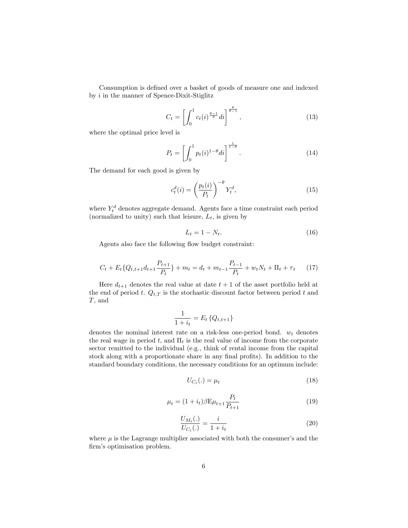Consumption is defined over a basket of goods of measure one and indexed by i in the manner of Spence-Dixit-Stiglitz

$$
C_t = \left[ \int_0^1 c_t(i)^{\frac{\theta - 1}{\theta}} di \right]^{\frac{\theta}{\theta - 1}}, \tag{13}
$$

where the optimal price level is

$$
P_t = \left[ \int_0^1 p_t(i)^{1-\theta} di \right]^{\frac{1}{1-\theta}}.
$$
\n(14)

The demand for each good is given by

$$
c_t^d(i) = \left(\frac{p_t(i)}{P_t}\right)^{-\theta} Y_t^d,\tag{15}
$$

where  $Y_t^d$  denotes aggregate demand. Agents face a time constraint each period (normalized to unity) such that leisure,  $L_t$ , is given by

$$
L_t = 1 - N_t. \tag{16}
$$

Agents also face the following flow budget constraint:

$$
C_t + E_t \{Q_{t,t+1}d_{t+1} \frac{P_{t+1}}{P_t}\} + m_t = d_t + m_{t-1} \frac{P_{t-1}}{P_t} + w_t N_t + \Pi_t + \tau_t \tag{17}
$$

Here  $d_{t+1}$  denotes the real value at date  $t + 1$  of the asset portfolio held at the end of period t.  $Q_{t,T}$  is the stochastic discount factor between period t and T, and

$$
\frac{1}{1+i_t} = E_t \{Q_{t,t+1}\}
$$

denotes the nominal interest rate on a risk-less one-period bond.  $w_t$  denotes the real wage in period t, and  $\Pi_t$  is the real value of income from the corporate sector remitted to the individual (e.g., think of rental income from the capital stock along with a proportionate share in any final profits). In addition to the standard boundary conditions, the necessary conditions for an optimum include:

$$
U_{C_t}(.) = \mu_t \tag{18}
$$

$$
\mu_t = (1 + i_t)\beta \mathcal{E}\mu_{t+1} \frac{P_t}{P_{t+1}}
$$
\n(19)

$$
\frac{U_{M_t}(.)}{U_{C_t}(.)} = \frac{i}{1 + i_t} \tag{20}
$$

where  $\mu$  is the Lagrange multiplier associated with both the consumer's and the firm's optimisation problem.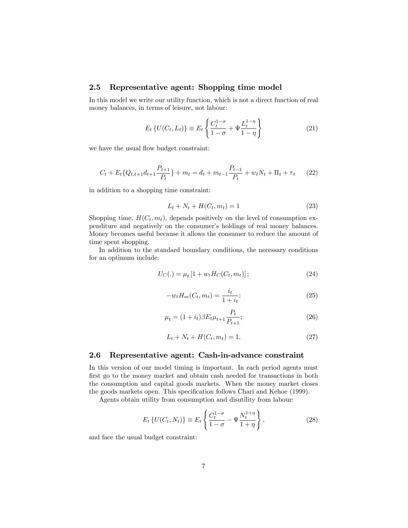### 2.5 Representative agent: Shopping time model

In this model we write our utility function, which is not a direct function of real money balances, in terms of leisure, not labour:

$$
E_t \{ U(C_t, L_t) \} \equiv E_t \left\{ \frac{C_t^{1-\sigma}}{1-\sigma} + \Psi \frac{L_t^{1-\eta}}{1-\eta} \right\}
$$
 (21)

we have the usual flow budget constraint:

$$
C_t + E_t \{Q_{t,t+1}d_{t+1} \frac{P_{t+1}}{P_t}\} + m_t = d_t + m_{t-1} \frac{P_{t-1}}{P_t} + w_t N_t + \Pi_t + \tau_t \tag{22}
$$

in addition to a shopping time constraint:

$$
L_t + N_t + H(C_t, m_t) = 1
$$
\n(23)

Shopping time,  $H(C_t, m_t)$ , depends positively on the level of consumption expenditure and negatively on the consumer's holdings of real money balances. Money becomes useful because it allows the consumer to reduce the amount of time spent shopping.

In addition to the standard boundary conditions, the necessary conditions for an optimum include:

$$
U_C(.) = \mu_t [1 + w_t H_C(C_t, m_t)]; \qquad (24)
$$

$$
-w_t H_m(C_t, m_t) = \frac{i_t}{1 + i_t};
$$
\n(25)

$$
\mu_t = (1 + i_t)\beta E_t \mu_{t+1} \frac{P_t}{P_{t+1}};\tag{26}
$$

$$
L_t + N_t + H(C_t, m_t) = 1.
$$
\n(27)

#### 2.6 Representative agent: Cash-in-advance constraint

In this version of our model timing is important. In each period agents must first go to the money market and obtain cash needed for transactions in both the consumption and capital goods markets. When the money market closes the goods markets open. This specification follows Chari and Kehoe (1999).

Agents obtain utility from consumption and disutility from labour:

$$
E_t \{ U(C_t, N_t) \} \equiv E_t \left\{ \frac{C_t^{1-\sigma}}{1-\sigma} - \Psi \frac{N_t^{1+\eta}}{1+\eta} \right\},
$$
\n(28)

and face the usual budget constraint: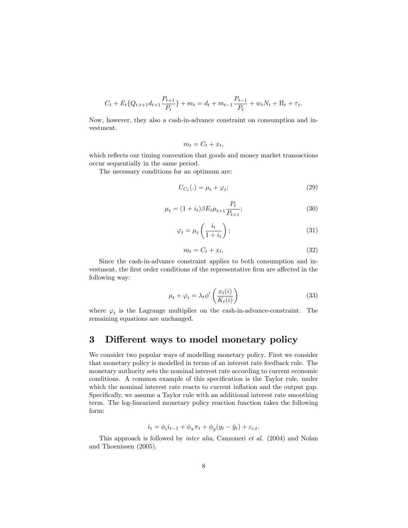$$
C_t + E_t \{Q_{t,t+1}d_{t+1} \frac{P_{t+1}}{P_t}\} + m_t = d_t + m_{t-1} \frac{P_{t-1}}{P_t} + w_t N_t + \Pi_t + \tau_t.
$$

Now, however, they also a cash-in-advance constraint on consumption and investment.

$$
m_t = C_t + x_t,
$$

which reflects our timing convention that goods and money market transactions occur sequentially in the same period.

The necessary conditions for an optimum are:

$$
U_{C_t}(.) = \mu_t + \varphi_t; \tag{29}
$$

$$
\mu_t = (1 + i_t)\beta E_t \mu_{t+1} \frac{P_t}{P_{t+1}};\tag{30}
$$

$$
\varphi_t = \mu_t \left( \frac{i_t}{1 + i_t} \right); \tag{31}
$$

$$
m_t = C_t + x_t. \tag{32}
$$

Since the cash-in-advance constraint applies to both consumption and investment, the first order conditions of the representative firm are affected in the following way:

$$
\mu_t + \varphi_t = \lambda_t \phi' \left( \frac{x_t(i)}{K_t(i)} \right) \tag{33}
$$

where  $\varphi_t$  is the Lagrange multiplier on the cash-in-advance-constraint. The remaining equations are unchanged.

### 3 Different ways to model monetary policy

We consider two popular ways of modelling monetary policy. First we consider that monetary policy is modelled in terms of an interest rate feedback rule. The monetary authority sets the nominal interest rate according to current economic conditions. A common example of this specification is the Taylor rule, under which the nominal interest rate reacts to current inflation and the output gap. Specifically, we assume a Taylor rule with an additional interest rate smoothing term. The log-linearized monetary policy reaction function takes the following form:

$$
i_t = \phi_i i_{t-1} + \phi_\pi \pi_t + \phi_{\bar{y}} (y_t - \bar{y}_t) + \varepsilon_{i,t}.
$$

This approach is followed by inter alia, Canzoneri et al. (2004) and Nolan and Thoenissen (2005).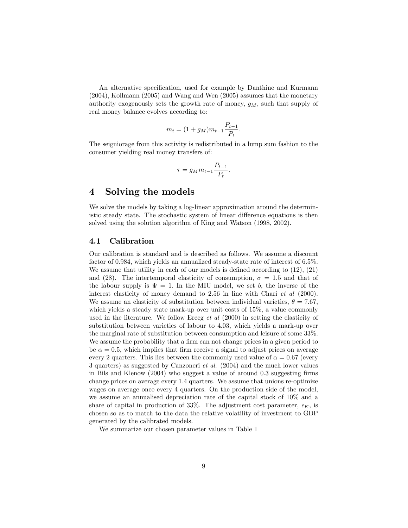An alternative specification, used for example by Danthine and Kurmann (2004), Kollmann (2005) and Wang and Wen (2005) assumes that the monetary authority exogenously sets the growth rate of money,  $g_M$ , such that supply of real money balance evolves according to:

$$
m_t = (1 + g_M) m_{t-1} \frac{P_{t-1}}{P_t}.
$$

The seigniorage from this activity is redistributed in a lump sum fashion to the consumer yielding real money transfers of:

$$
\tau=g_Mm_{t-1}\frac{P_{t-1}}{P_t}.
$$

### 4 Solving the models

We solve the models by taking a log-linear approximation around the deterministic steady state. The stochastic system of linear difference equations is then solved using the solution algorithm of King and Watson (1998, 2002).

### 4.1 Calibration

Our calibration is standard and is described as follows. We assume a discount factor of 0:984, which yields an annualized steady-state rate of interest of 6:5%. We assume that utility in each of our models is defined according to  $(12)$ ,  $(21)$ and (28). The intertemporal elasticity of consumption,  $\sigma = 1.5$  and that of the labour supply is  $\Psi = 1$ . In the MIU model, we set b, the inverse of the interest elasticity of money demand to 2.56 in line with Chari *et al* (2000). We assume an elasticity of substitution between individual varieties,  $\theta = 7.67$ , which yields a steady state mark-up over unit costs of 15%, a value commonly used in the literature. We follow Erceg *et al*  $(2000)$  in setting the elasticity of substitution between varieties of labour to 4.03, which yields a mark-up over the marginal rate of substitution between consumption and leisure of some 33%. We assume the probability that a firm can not change prices in a given period to be  $\alpha = 0.5$ , which implies that firm receive a signal to adjust prices on average every 2 quarters. This lies between the commonly used value of  $\alpha = 0.67$  (every 3 quarters) as suggested by Canzoneri et al. (2004) and the much lower values in Bils and Klenow  $(2004)$  who suggest a value of around 0.3 suggesting firms change prices on average every 1.4 quarters. We assume that unions re-optimize wages on average once every 4 quarters. On the production side of the model, we assume an annualised depreciation rate of the capital stock of 10% and a share of capital in production of 33%. The adjustment cost parameter,  $\epsilon_K$ , is chosen so as to match to the data the relative volatility of investment to GDP generated by the calibrated models.

We summarize our chosen parameter values in Table 1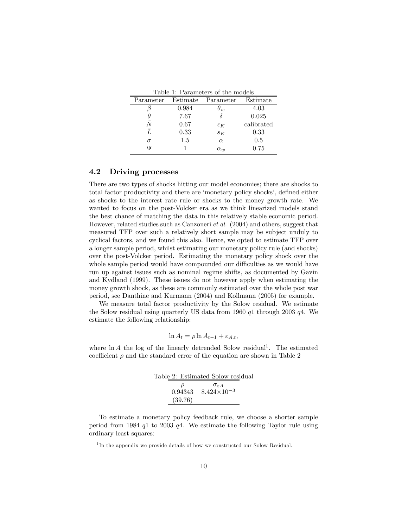|  | Table 1: Parameters of the models |  |  |
|--|-----------------------------------|--|--|
|  |                                   |  |  |

| Parameter | Estimate | Parameter    | Estimate   |
|-----------|----------|--------------|------------|
|           | 0.984    | $\theta_w$   | $4.03\,$   |
|           | 7.67     |              | 0.025      |
|           | 0.67     | $\epsilon_K$ | calibrated |
|           | 0.33     | $S_K$        | 0.33       |
| $\sigma$  | 1.5      | $\alpha$     | 0.5        |
| Ŵ         |          | $\alpha_{w}$ | 0.75       |

### 4.2 Driving processes

There are two types of shocks hitting our model economies; there are shocks to total factor productivity and there are 'monetary policy shocks', defined either as shocks to the interest rate rule or shocks to the money growth rate. We wanted to focus on the post-Volcker era as we think linearized models stand the best chance of matching the data in this relatively stable economic period. However, related studies such as Canzoneri et al. (2004) and others, suggest that measured TFP over such a relatively short sample may be subject unduly to cyclical factors, and we found this also. Hence, we opted to estimate TFP over a longer sample period, whilst estimating our monetary policy rule (and shocks) over the post-Volcker period. Estimating the monetary policy shock over the whole sample period would have compounded our difficulties as we would have run up against issues such as nominal regime shifts, as documented by Gavin and Kydland (1999). These issues do not however apply when estimating the money growth shock, as these are commonly estimated over the whole post war period, see Danthine and Kurmann (2004) and Kollmann (2005) for example.

We measure total factor productivity by the Solow residual. We estimate the Solow residual using quarterly US data from 1960 q1 through 2003 q4. We estimate the following relationship:

$$
\ln A_t = \rho \ln A_{t-1} + \varepsilon_{A,t},
$$

where  $\ln A$  the log of the linearly detrended Solow residual<sup>1</sup>. The estimated coefficient  $\rho$  and the standard error of the equation are shown in Table 2

|         | Table 2: Estimated Solow residual |
|---------|-----------------------------------|
| D       | $\sigma_{\varepsilon A}$          |
|         | $0.94343$ $8.424 \times 10^{-3}$  |
| (39.76) |                                   |

To estimate a monetary policy feedback rule, we choose a shorter sample period from 1984  $q1$  to 2003  $q4$ . We estimate the following Taylor rule using ordinary least squares:

<sup>&</sup>lt;sup>1</sup>In the appendix we provide details of how we constructed our Solow Residual.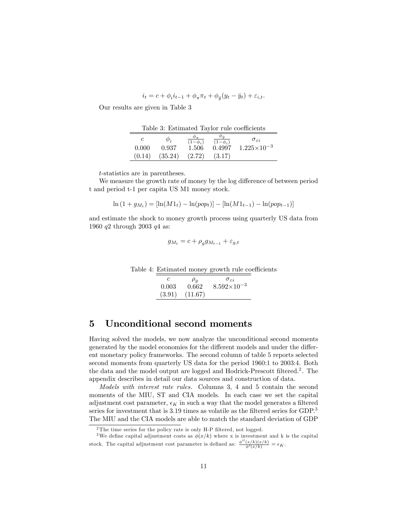$$
i_t = c + \phi_i i_{t-1} + \phi_\pi \pi_t + \phi_{\bar{y}} (y_t - \bar{y}_t) + \varepsilon_{i,t}.
$$

Our results are given in Table 3

Table 3: Estimated Taylor rule coefficients

|        | $\varphi_i$ | $(1-\phi_i)$ | $(1-\phi_i)$ | $\sigma_{\varepsilon i}$ |
|--------|-------------|--------------|--------------|--------------------------|
| 0.000  | 0.937       | 1.506        | 0.4997       | $1.225\times10^{-3}$     |
| (0.14) | (35.24)     | (2.72)       | (3.17)       |                          |

t-statistics are in parentheses.

We measure the growth rate of money by the log difference of between period t and period t-1 per capita US M1 money stock.

$$
\ln(1 + g_{M_t}) = [\ln(M1_t) - \ln(pop_t)] - [\ln(M1_{t-1}) - \ln(pop_{t-1})]
$$

and estimate the shock to money growth process using quarterly US data from 1960 q2 through 2003 q4 as:

$$
g_{M_t}=c+\rho_g g_{M_{t-1}}+\varepsilon_{g,t}
$$

Table 4: Estimated money growth rule coefficients

|       | $\mu_a$            | $\sigma_{\varepsilon i}$ |
|-------|--------------------|--------------------------|
| 0.003 | 0.662              | $8.592\times10^{-3}$     |
|       | $(3.91)$ $(11.67)$ |                          |

### 5 Unconditional second moments

Having solved the models, we now analyze the unconditional second moments generated by the model economies for the different models and under the different monetary policy frameworks. The second column of table 5 reports selected second moments from quarterly US data for the period 1960:1 to 2003:4. Both the data and the model output are logged and Hodrick-Prescott filtered.<sup>2</sup>. The appendix describes in detail our data sources and construction of data.

Models with interest rate rules. Columns 3, 4 and 5 contain the second moments of the MIU, ST and CIA models. In each case we set the capital adjustment cost parameter,  $\epsilon_K$  in such a way that the model generates a filtered series for investment that is  $3.19$  times as volatile as the filtered series for GDP.<sup>3</sup> The MIU and the CIA models are able to match the standard deviation of GDP

<sup>&</sup>lt;sup>2</sup>The time series for the policy rate is only H-P filtered, not logged.

<sup>&</sup>lt;sup>3</sup>We define capital adjustment costs as  $\phi(x/k)$  where x is investment and k is the capital stock. The capital adjustment cost parameter is defined as:  $\frac{\phi''(x/k)(x/k)}{\phi'(x/k)} = \epsilon_K$ .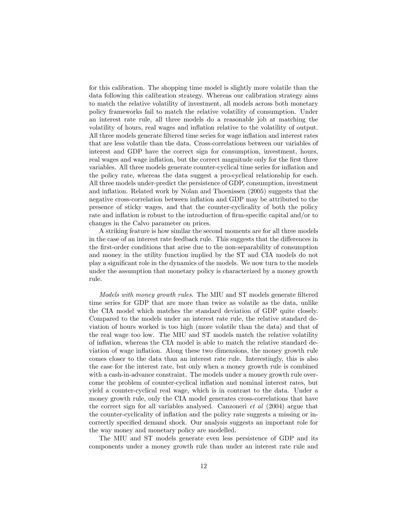for this calibration. The shopping time model is slightly more volatile than the data following this calibration strategy. Whereas our calibration strategy aims to match the relative volatility of investment, all models across both monetary policy frameworks fail to match the relative volatility of consumption. Under an interest rate rule, all three models do a reasonable job at matching the volatility of hours, real wages and inflation relative to the volatility of output. All three models generate filtered time series for wage inflation and interest rates that are less volatile than the data. Cross-correlations between our variables of interest and GDP have the correct sign for consumption, investment, hours, real wages and wage inflation, but the correct magnitude only for the first three variables. All three models generate counter-cyclical time series for ináation and the policy rate, whereas the data suggest a pro-cyclical relationship for each. All three models under-predict the persistence of GDP, consumption, investment and inflation. Related work by Nolan and Thoenissen  $(2005)$  suggests that the negative cross-correlation between ináation and GDP may be attributed to the presence of sticky wages, and that the counter-cyclicality of both the policy rate and inflation is robust to the introduction of firm-specific capital and/or to changes in the Calvo parameter on prices.

A striking feature is how similar the second moments are for all three models in the case of an interest rate feedback rule. This suggests that the differences in the Örst-order conditions that arise due to the non-separability of consumption and money in the utility function implied by the ST and CIA models do not play a significant role in the dynamics of the models. We now turn to the models under the assumption that monetary policy is characterized by a money growth rule.

Models with money growth rules. The MIU and ST models generate filtered time series for GDP that are more than twice as volatile as the data, unlike the CIA model which matches the standard deviation of GDP quite closely. Compared to the models under an interest rate rule, the relative standard deviation of hours worked is too high (more volatile than the data) and that of the real wage too low. The MIU and ST models match the relative volatility of ináation, whereas the CIA model is able to match the relative standard deviation of wage inflation. Along these two dimensions, the money growth rule comes closer to the data than an interest rate rule. Interestingly, this is also the case for the interest rate, but only when a money growth rule is combined with a cash-in-advance constraint. The models under a money growth rule overcome the problem of counter-cyclical ináation and nominal interest rates, but yield a counter-cyclical real wage, which is in contrast to the data. Under a money growth rule, only the CIA model generates cross-correlations that have the correct sign for all variables analysed. Canzoneri et al (2004) argue that the counter-cyclicality of inflation and the policy rate suggests a missing or incorrectly specified demand shock. Our analysis suggests an important role for the way money and monetary policy are modelled.

The MIU and ST models generate even less persistence of GDP and its components under a money growth rule than under an interest rate rule and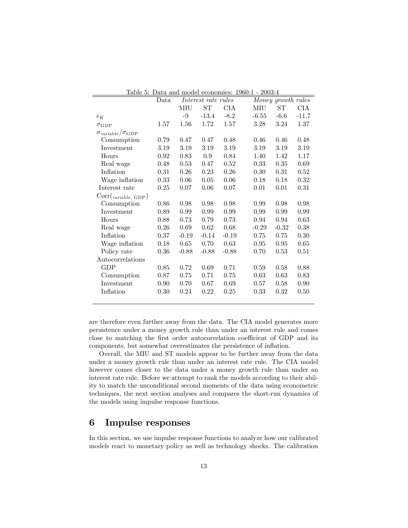| Table 5: Data and model economies: 1960:1 - 2003:4 |                                                   |          |          |            |          |          |            |  |
|----------------------------------------------------|---------------------------------------------------|----------|----------|------------|----------|----------|------------|--|
|                                                    | Interest rate rules<br>Money growth rules<br>Data |          |          |            |          |          |            |  |
|                                                    |                                                   | MIU      | ST       | <b>CIA</b> | MIU      | ST       | <b>CIA</b> |  |
| $\epsilon_K$                                       |                                                   | -9       | $-13.4$  | $-8.2$     | $-6.55$  | $-6.6$   | $-11.7$    |  |
| $\sigma_{\rm GDP}$                                 | 1.57                                              | 1.56     | 1.72     | 1.57       | 3.28     | 3.24     | 1.37       |  |
| $\sigma_{\text{variable}}/\sigma_{\text{GDP}}$     |                                                   |          |          |            |          |          |            |  |
| Consumption                                        | 0.79                                              | 0.47     | 0.47     | 0.48       | 0.46     | 0.46     | 0.48       |  |
| Investment                                         | 3.19                                              | 3.19     | 3.19     | 3.19       | 3.19     | 3.19     | 3.19       |  |
| Hours                                              | 0.92                                              | 0.83     | 0.9      | 0.84       | 1.40     | 1.42     | 1.17       |  |
| Real wage                                          | 0.48                                              | 0.53     | 0.47     | $0.52\,$   | 0.33     | 0.35     | 0.69       |  |
| Inflation                                          | 0.31                                              | 0.26     | 0.23     | 0.26       | 0.30     | 0.31     | 0.52       |  |
| Wage inflation                                     | 0.33                                              | 0.06     | 0.05     | 0.06       | 0.18     | 0.18     | 0.32       |  |
| Interest rate                                      | 0.25                                              | $0.07\,$ | $0.06\,$ | 0.07       | $0.01\,$ | $0.01\,$ | 0.31       |  |
| $Corr(\text{variable}, GDP)$                       |                                                   |          |          |            |          |          |            |  |
| Consumption                                        | 0.86                                              | 0.98     | 0.98     | 0.98       | 0.99     | 0.98     | 0.98       |  |
| Investment                                         | 0.89                                              | 0.99     | 0.99     | 0.99       | 0.99     | 0.99     | 0.99       |  |
| Hours                                              | 0.88                                              | 0.73     | 0.79     | 0.73       | 0.94     | 0.94     | 0.63       |  |
| Real wage                                          | 0.26                                              | 0.69     | 0.62     | 0.68       | $-0.29$  | $-0.32$  | 0.38       |  |
| Inflation                                          | 0.37                                              | $-0.19$  | $-0.14$  | $-0.19$    | 0.75     | 0.75     | 0.30       |  |
| Wage inflation                                     | 0.18                                              | 0.65     | 0.70     | 0.63       | 0.95     | 0.95     | 0.65       |  |
| Policy rate                                        | 0.36                                              | $-0.88$  | $-0.88$  | $-0.88$    | 0.70     | 0.53     | 0.51       |  |
| Autocorrelations                                   |                                                   |          |          |            |          |          |            |  |
| GDP                                                | 0.85                                              | 0.72     | 0.69     | 0.71       | 0.59     | 0.58     | 0.88       |  |
| Consumption                                        | 0.87                                              | 0.75     | 0.71     | 0.75       | 0.63     | 0.63     | 0.83       |  |
| Investment                                         | 0.90                                              | 0.70     | 0.67     | 0.69       | 0.57     | 0.58     | 0.90       |  |
| Inflation                                          | 0.30                                              | 0.24     | 0.22     | 0.25       | 0.33     | 0.32     | 0.50       |  |
|                                                    |                                                   |          |          |            |          |          |            |  |

|  |  | lable 5: Data and model economies: 1960:1 - 2003:4 <sup>-</sup> |  |
|--|--|-----------------------------------------------------------------|--|
|  |  |                                                                 |  |

are therefore even further away from the data. The CIA model generates more persistence under a money growth rule than under an interest rule and comes close to matching the first order autocorrelation coefficient of GDP and its components, but somewhat overestimates the persistence of inflation.

Overall, the MIU and ST models appear to be further away from the data under a money growth rule than under an interest rate rule. The CIA model however comes closer to the data under a money growth rule than under an interest rate rule. Before we attempt to rank the models according to their ability to match the unconditional second moments of the data using econometric techniques, the next section analyses and compares the short-run dynamics of the models using impulse response functions.

### 6 Impulse responses

In this section, we use impulse response functions to analyze how our calibrated models react to monetary policy as well as technology shocks. The calibration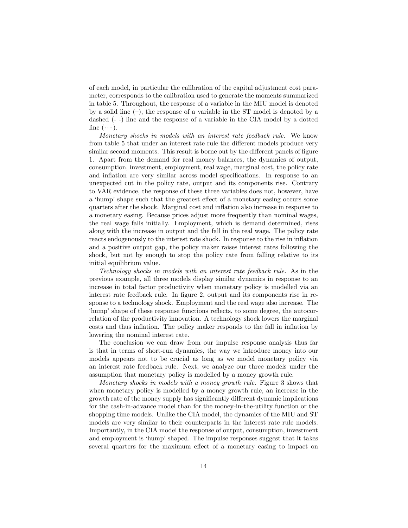of each model, in particular the calibration of the capital adjustment cost parameter, corresponds to the calibration used to generate the moments summarized in table 5. Throughout, the response of a variable in the MIU model is denoted by a solid line  $(-)$ , the response of a variable in the ST model is denoted by a dashed (- -) line and the response of a variable in the CIA model by a dotted line  $(\cdots)$ .

Monetary shocks in models with an interest rate feedback rule. We know from table 5 that under an interest rate rule the different models produce very similar second moments. This result is borne out by the different panels of figure 1. Apart from the demand for real money balances, the dynamics of output, consumption, investment, employment, real wage, marginal cost, the policy rate and inflation are very similar across model specifications. In response to an unexpected cut in the policy rate, output and its components rise. Contrary to VAR evidence, the response of these three variables does not, however, have a 'hump' shape such that the greatest effect of a monetary easing occurs some quarters after the shock. Marginal cost and ináation also increase in response to a monetary easing. Because prices adjust more frequently than nominal wages, the real wage falls initially. Employment, which is demand determined, rises along with the increase in output and the fall in the real wage. The policy rate reacts endogenously to the interest rate shock. In response to the rise in inflation and a positive output gap, the policy maker raises interest rates following the shock, but not by enough to stop the policy rate from falling relative to its initial equilibrium value.

Technology shocks in models with an interest rate feedback rule. As in the previous example, all three models display similar dynamics in response to an increase in total factor productivity when monetary policy is modelled via an interest rate feedback rule. In figure 2, output and its components rise in response to a technology shock. Employment and the real wage also increase. The 'hump' shape of these response functions reflects, to some degree, the autocorrelation of the productivity innovation. A technology shock lowers the marginal costs and thus inflation. The policy maker responds to the fall in inflation by lowering the nominal interest rate.

The conclusion we can draw from our impulse response analysis thus far is that in terms of short-run dynamics, the way we introduce money into our models appears not to be crucial as long as we model monetary policy via an interest rate feedback rule. Next, we analyze our three models under the assumption that monetary policy is modelled by a money growth rule.

Monetary shocks in models with a money growth rule. Figure 3 shows that when monetary policy is modelled by a money growth rule, an increase in the growth rate of the money supply has significantly different dynamic implications for the cash-in-advance model than for the money-in-the-utility function or the shopping time models. Unlike the CIA model, the dynamics of the MIU and ST models are very similar to their counterparts in the interest rate rule models. Importantly, in the CIA model the response of output, consumption, investment and employment is 'hump' shaped. The impulse responses suggest that it takes several quarters for the maximum effect of a monetary easing to impact on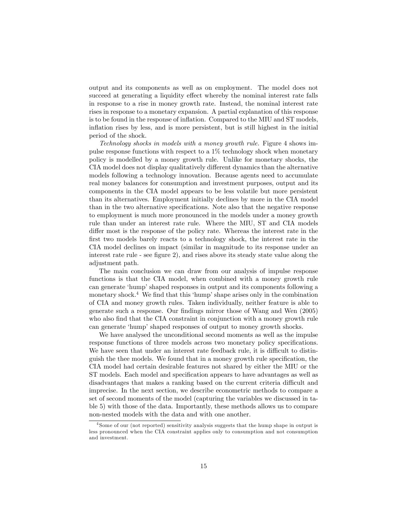output and its components as well as on employment. The model does not succeed at generating a liquidity effect whereby the nominal interest rate falls in response to a rise in money growth rate. Instead, the nominal interest rate rises in response to a monetary expansion. A partial explanation of this response is to be found in the response of ináation. Compared to the MIU and ST models, inflation rises by less, and is more persistent, but is still highest in the initial period of the shock.

Technology shocks in models with a money growth rule. Figure 4 shows impulse response functions with respect to a 1% technology shock when monetary policy is modelled by a money growth rule. Unlike for monetary shocks, the CIA model does not display qualitatively different dynamics than the alternative models following a technology innovation. Because agents need to accumulate real money balances for consumption and investment purposes, output and its components in the CIA model appears to be less volatile but more persistent than its alternatives. Employment initially declines by more in the CIA model than in the two alternative specifications. Note also that the negative response to employment is much more pronounced in the models under a money growth rule than under an interest rate rule. Where the MIU, ST and CIA models differ most is the response of the policy rate. Whereas the interest rate in the first two models barely reacts to a technology shock, the interest rate in the CIA model declines on impact (similar in magnitude to its response under an interest rate rule - see Ögure 2), and rises above its steady state value along the adjustment path.

The main conclusion we can draw from our analysis of impulse response functions is that the CIA model, when combined with a money growth rule can generate 'hump' shaped responses in output and its components following a monetary shock.<sup>4</sup> We find that this 'hump' shape arises only in the combination of CIA and money growth rules. Taken individually, neither feature is able to generate such a response. Our findings mirror those of Wang and Wen (2005) who also find that the CIA constraint in conjunction with a money growth rule can generate 'hump' shaped responses of output to money growth shocks.

We have analysed the unconditional second moments as well as the impulse response functions of three models across two monetary policy specifications. We have seen that under an interest rate feedback rule, it is difficult to distinguish the thee models. We found that in a money growth rule specification, the CIA model had certain desirable features not shared by either the MIU or the ST models. Each model and specification appears to have advantages as well as disadvantages that makes a ranking based on the current criteria difficult and imprecise. In the next section, we describe econometric methods to compare a set of second moments of the model (capturing the variables we discussed in table 5) with those of the data. Importantly, these methods allows us to compare non-nested models with the data and with one another.

<sup>4</sup> Some of our (not reported) sensitivity analysis suggests that the hump shape in output is less pronounced when the CIA constraint applies only to consumption and not consumption and investment.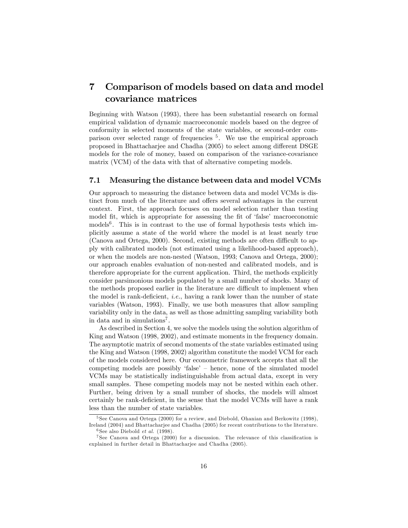# 7 Comparison of models based on data and model covariance matrices

Beginning with Watson (1993), there has been substantial research on formal empirical validation of dynamic macroeconomic models based on the degree of conformity in selected moments of the state variables, or second-order comparison over selected range of frequencies <sup>5</sup> . We use the empirical approach proposed in Bhattacharjee and Chadha (2005) to select among different DSGE models for the role of money, based on comparison of the variance-covariance matrix (VCM) of the data with that of alternative competing models.

#### 7.1 Measuring the distance between data and model VCMs

Our approach to measuring the distance between data and model VCMs is distinct from much of the literature and offers several advantages in the current context. First, the approach focuses on model selection rather than testing model fit, which is appropriate for assessing the fit of 'false' macroeconomic models<sup>6</sup>. This is in contrast to the use of formal hypothesis tests which implicitly assume a state of the world where the model is at least nearly true (Canova and Ortega,  $2000$ ). Second, existing methods are often difficult to apply with calibrated models (not estimated using a likelihood-based approach), or when the models are non-nested (Watson, 1993; Canova and Ortega, 2000); our approach enables evaluation of non-nested and calibrated models, and is therefore appropriate for the current application. Third, the methods explicitly consider parsimonious models populated by a small number of shocks. Many of the methods proposed earlier in the literature are difficult to implement when the model is rank-deficient, *i.e.*, having a rank lower than the number of state variables (Watson, 1993). Finally, we use both measures that allow sampling variability only in the data, as well as those admitting sampling variability both in data and in simulations<sup>7</sup>.

As described in Section 4, we solve the models using the solution algorithm of King and Watson (1998, 2002), and estimate moments in the frequency domain. The asymptotic matrix of second moments of the state variables estimated using the King and Watson (1998, 2002) algorithm constitute the model VCM for each of the models considered here. Our econometric framework accepts that all the competing models are possibly 'false'  $-$  hence, none of the simulated model VCMs may be statistically indistinguishable from actual data, except in very small samples. These competing models may not be nested within each other. Further, being driven by a small number of shocks, the models will almost certainly be rank-deficient, in the sense that the model VCMs will have a rank less than the number of state variables.

<sup>5</sup> See Canova and Ortega (2000) for a review, and Diebold, Ohanian and Berkowitz (1998), Ireland (2004) and Bhattacharjee and Chadha (2005) for recent contributions to the literature.  ${}^{6}$ See also Diebold *et al.* (1998).

 $7$  See Canova and Ortega (2000) for a discussion. The relevance of this classification is explained in further detail in Bhattacharjee and Chadha (2005).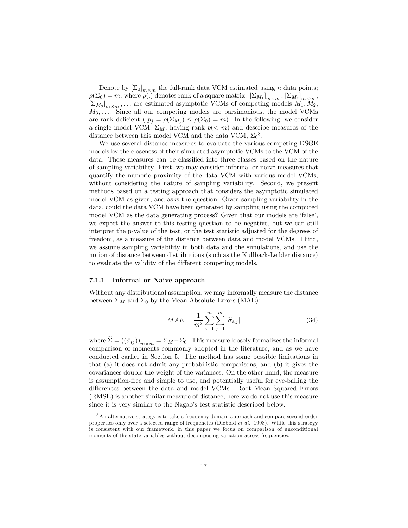Denote by  $[\Sigma_0]_{m \times m}$  the full-rank data VCM estimated using *n* data points;  $\rho(\Sigma_0) = m$ , where  $\rho(.)$  denotes rank of a square matrix.  $[\Sigma_{M_1}]_{m \times m}$ ,  $[\Sigma_{M_2}]_{m \times m}$ ,  $[\Sigma_{M_3}]_{m \times m}$ ,... are estimated asymptotic VCMs of competing models  $M_1, M_2$ ,  $M_3, \ldots$  Since all our competing models are parsimonious, the model VCMs are rank deficient  $(p_j = \rho(\Sigma_{M_j}) \leq \rho(\Sigma_0) = m)$ . In the following, we consider a single model VCM,  $\Sigma_M$ , having rank  $p(< m)$  and describe measures of the distance between this model VCM and the data VCM,  $\Sigma_0^8$ .

We use several distance measures to evaluate the various competing DSGE models by the closeness of their simulated asymptotic VCMs to the VCM of the data. These measures can be classified into three classes based on the nature of sampling variability. First, we may consider informal or naive measures that quantify the numeric proximity of the data VCM with various model VCMs, without considering the nature of sampling variability. Second, we present methods based on a testing approach that considers the asymptotic simulated model VCM as given, and asks the question: Given sampling variability in the data, could the data VCM have been generated by sampling using the computed model VCM as the data generating process? Given that our models are 'false', we expect the answer to this testing question to be negative, but we can still interpret the p-value of the test, or the test statistic adjusted for the degrees of freedom, as a measure of the distance between data and model VCMs. Third, we assume sampling variability in both data and the simulations, and use the notion of distance between distributions (such as the Kullback-Leibler distance) to evaluate the validity of the different competing models.

#### 7.1.1 Informal or Naive approach

Without any distributional assumption, we may informally measure the distance between  $\Sigma_M$  and  $\Sigma_0$  by the Mean Absolute Errors (MAE):

$$
MAE = \frac{1}{m^2} \sum_{i=1}^{m} \sum_{j=1}^{m} |\tilde{\sigma}_{i,j}|
$$
 (34)

where  $\Sigma = ((\widetilde{\sigma}_{ij}))_{m \times m} = \Sigma_M - \Sigma_0$ . This measure loosely formalizes the informal comparison of moments commonly adopted in the literature, and as we have conducted earlier in Section 5. The method has some possible limitations in that (a) it does not admit any probabilistic comparisons, and (b) it gives the covariances double the weight of the variances. On the other hand, the measure is assumption-free and simple to use, and potentially useful for eye-balling the differences between the data and model VCMs. Root Mean Squared Errors (RMSE) is another similar measure of distance; here we do not use this measure since it is very similar to the Nagao's test statistic described below.

<sup>8</sup>An alternative strategy is to take a frequency domain approach and compare second-order properties only over a selected range of frequencies (Diebold et al., 1998). While this strategy is consistent with our framework, in this paper we focus on comparison of unconditional moments of the state variables without decomposing variation across frequencies.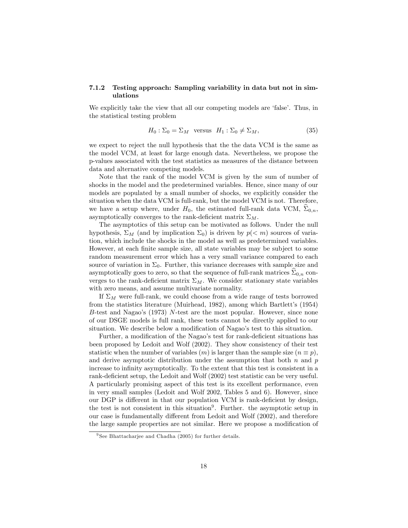### 7.1.2 Testing approach: Sampling variability in data but not in simulations

We explicitly take the view that all our competing models are 'false'. Thus, in the statistical testing problem

$$
H_0: \Sigma_0 = \Sigma_M \quad \text{versus} \quad H_1: \Sigma_0 \neq \Sigma_M,\tag{35}
$$

we expect to reject the null hypothesis that the the data VCM is the same as the model VCM, at least for large enough data. Nevertheless, we propose the p-values associated with the test statistics as measures of the distance between data and alternative competing models.

Note that the rank of the model VCM is given by the sum of number of shocks in the model and the predetermined variables. Hence, since many of our models are populated by a small number of shocks, we explicitly consider the situation when the data VCM is full-rank, but the model VCM is not. Therefore, we have a setup where, under  $H_0$ , the estimated full-rank data VCM,  $\Sigma_{0,n}$ , asymptotically converges to the rank-deficient matrix  $\Sigma_M$ .

The asymptotics of this setup can be motivated as follows. Under the null hypothesis,  $\Sigma_M$  (and by implication  $\Sigma_0$ ) is driven by  $p(< m)$  sources of variation, which include the shocks in the model as well as predetermined variables. However, at each finite sample size, all state variables may be subject to some random measurement error which has a very small variance compared to each source of variation in  $\Sigma_0$ . Further, this variance decreases with sample size and asymptotically goes to zero, so that the sequence of full-rank matrices  $\Sigma_{0,n}$  converges to the rank-deficient matrix  $\Sigma_M$ . We consider stationary state variables with zero means, and assume multivariate normality.

If  $\Sigma_M$  were full-rank, we could choose from a wide range of tests borrowed from the statistics literature (Muirhead, 1982), among which Bartlett's (1954) B-test and Nagao's  $(1973)$  N-test are the most popular. However, since none of our DSGE models is full rank, these tests cannot be directly applied to our situation. We describe below a modification of Nagao's test to this situation.

Further, a modification of the Nagao's test for rank-deficient situations has been proposed by Ledoit and Wolf (2002). They show consistency of their test statistic when the number of variables  $(m)$  is larger than the sample size  $(n \equiv p)$ , and derive asymptotic distribution under the assumption that both  $n$  and  $p$ increase to infinity asymptotically. To the extent that this test is consistent in a rank-deficient setup, the Ledoit and Wolf (2002) test statistic can be very useful. A particularly promising aspect of this test is its excellent performance, even in very small samples (Ledoit and Wolf 2002, Tables 5 and 6). However, since our DGP is different in that our population VCM is rank-deficient by design, the test is not consistent in this situation<sup>9</sup>. Further. the asymptotic setup in our case is fundamentally different from Ledoit and Wolf (2002), and therefore the large sample properties are not similar. Here we propose a modification of

<sup>&</sup>lt;sup>9</sup> See Bhattacharjee and Chadha (2005) for further details.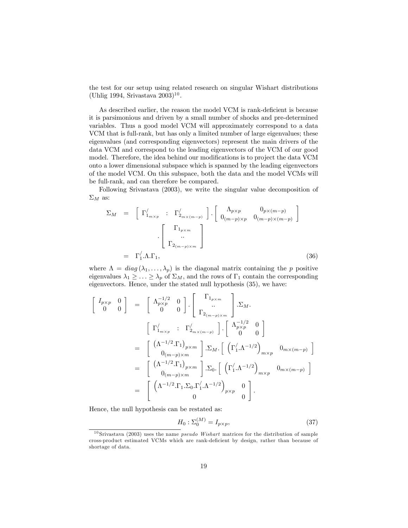the test for our setup using related research on singular Wishart distributions  $(Uhlig 1994, Srivastava 2003)^{10}.$ 

As described earlier, the reason the model VCM is rank-deficient is because it is parsimonious and driven by a small number of shocks and pre-determined variables. Thus a good model VCM will approximately correspond to a data VCM that is full-rank, but has only a limited number of large eigenvalues; these eigenvalues (and corresponding eigenvectors) represent the main drivers of the data VCM and correspond to the leading eigenvectors of the VCM of our good model. Therefore, the idea behind our modifications is to project the data VCM onto a lower dimensional subspace which is spanned by the leading eigenvectors of the model VCM. On this subspace, both the data and the model VCMs will be full-rank, and can therefore be compared.

Following Srivastava (2003), we write the singular value decomposition of  $\Sigma_M$  as:

$$
\Sigma_M = \begin{bmatrix} \Gamma'_{1_{m \times p}} & \colon \Gamma'_{2_{m \times (m-p)}} \end{bmatrix} \cdot \begin{bmatrix} \Lambda_{p \times p} & 0_{p \times (m-p)} \\ 0_{(m-p) \times p} & 0_{(m-p) \times (m-p)} \end{bmatrix}
$$

$$
= \Gamma'_{1} \cdot \Lambda \cdot \Gamma_{1}, \qquad (36)
$$

where  $\Lambda = diag(\lambda_1, ..., \lambda_p)$  is the diagonal matrix containing the p positive eigenvalues  $\lambda_1 \geq \ldots \geq \lambda_p$  of  $\Sigma_M$ , and the rows of  $\Gamma_1$  contain the corresponding eigenvectors. Hence, under the stated null hypothesis (35), we have:

$$
\begin{bmatrix}\nI_{p\times p} & 0 \\
0 & 0\n\end{bmatrix} = \begin{bmatrix}\n\Lambda_{p\times p}^{-1/2} & 0 \\
0 & 0\n\end{bmatrix} \cdot \begin{bmatrix}\n\Gamma_{1_{p\times m}} \\
\cdot \\
\Gamma_{2_{(m-p)\times m}}\n\end{bmatrix} \cdot \Sigma_M.
$$
\n
$$
= \begin{bmatrix}\n\Gamma'_{1_{m\times p}} & \Gamma'_{2_{m\times(m-p)}}\n\end{bmatrix} \cdot \begin{bmatrix}\n\Lambda_{p\times p}^{-1/2} & 0 \\
0 & 0\n\end{bmatrix}
$$
\n
$$
= \begin{bmatrix}\n(\Lambda^{-1/2} \cdot \Gamma_1)_{p\times m} \\
0_{(m-p)\times m}\n\end{bmatrix} \cdot \Sigma_M \cdot \begin{bmatrix}\n(\Gamma'_1 \cdot \Lambda^{-1/2})_{m\times p} & 0_{m\times(m-p)}\n\end{bmatrix}
$$
\n
$$
= \begin{bmatrix}\n(\Lambda^{-1/2} \cdot \Gamma_1)_{p\times m} \\
0_{(m-p)\times m}\n\end{bmatrix} \cdot \Sigma_0 \cdot \begin{bmatrix}\n(\Gamma'_1 \cdot \Lambda^{-1/2})_{m\times p} & 0_{m\times(m-p)}\n\end{bmatrix}
$$
\n
$$
= \begin{bmatrix}\n(\Lambda^{-1/2} \cdot \Gamma_1 \cdot \Sigma_0 \cdot \Gamma'_1 \cdot \Lambda^{-1/2})_{p\times p} & 0 \\
0 & 0\n\end{bmatrix}.
$$

Hence, the null hypothesis can be restated as:

$$
H_0: \Sigma_0^{(M)} = I_{p \times p},\tag{37}
$$

 $10$  Srivastava (2003) uses the name *pseudo Wishart* matrices for the distribution of sample cross-product estimated VCMs which are rank-deÖcient by design, rather than because of shortage of data.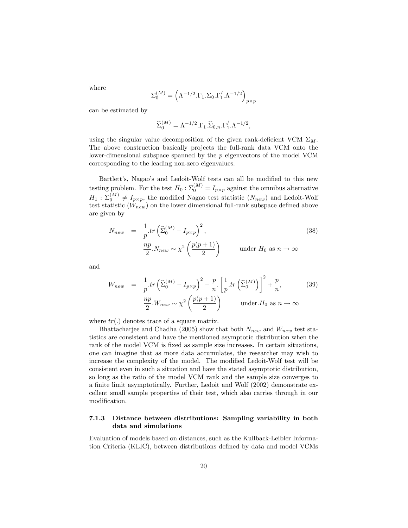where

$$
\Sigma_0^{(M)} = \left(\Lambda^{-1/2}.\Gamma_1.\Sigma_0.\Gamma_1^{'}.\Lambda^{-1/2}\right)_{p \times p}
$$

can be estimated by

$$
\widehat{\Sigma}_0^{(M)} = \Lambda^{-1/2} . \Gamma_1 . \widehat{\Sigma}_{0,n} . \Gamma_1^{'} . \Lambda^{-1/2},
$$

using the singular value decomposition of the given rank-deficient VCM  $\Sigma_M$ . The above construction basically projects the full-rank data VCM onto the lower-dimensional subspace spanned by the  $p$  eigenvectors of the model VCM corresponding to the leading non-zero eigenvalues.

Bartlett's, Nagao's and Ledoit-Wolf tests can all be modified to this new testing problem. For the test  $H_0: \Sigma_0^{(M)} = I_{p \times p}$  against the omnibus alternative  $H_1: \Sigma_0^{(M)} \neq I_{p \times p}$ , the modified Nagao test statistic  $(N_{new})$  and Ledoit-Wolf test statistic  $(W_{new})$  on the lower dimensional full-rank subspace defined above are given by

$$
N_{new} = \frac{1}{p} \cdot tr \left( \hat{\Sigma}_0^{(M)} - I_{p \times p} \right)^2,
$$
  
\n
$$
\frac{np}{2} N_{new} \sim \chi^2 \left( \frac{p(p+1)}{2} \right) \quad \text{under } H_0 \text{ as } n \to \infty
$$

and

$$
W_{new} = \frac{1}{p} tr \left( \hat{\Sigma}_0^{(M)} - I_{p \times p} \right)^2 - \frac{p}{n} \left[ \frac{1}{p} tr \left( \hat{\Sigma}_0^{(M)} \right) \right]^2 + \frac{p}{n}, \qquad (39)
$$

$$
\frac{np}{2} W_{new} \sim \chi^2 \left( \frac{p(p+1)}{2} \right) \qquad \text{under.} H_0 \text{ as } n \to \infty
$$

where  $tr(.)$  denotes trace of a square matrix.

Bhattacharjee and Chadha (2005) show that both  $N_{new}$  and  $W_{new}$  test statistics are consistent and have the mentioned asymptotic distribution when the rank of the model VCM is fixed as sample size increases. In certain situations, one can imagine that as more data accumulates, the researcher may wish to increase the complexity of the model. The modified Ledoit-Wolf test will be consistent even in such a situation and have the stated asymptotic distribution, so long as the ratio of the model VCM rank and the sample size converges to a finite limit asymptotically. Further, Ledoit and Wolf (2002) demonstrate excellent small sample properties of their test, which also carries through in our modification.

#### 7.1.3 Distance between distributions: Sampling variability in both data and simulations

Evaluation of models based on distances, such as the Kullback-Leibler Information Criteria (KLIC), between distributions defined by data and model VCMs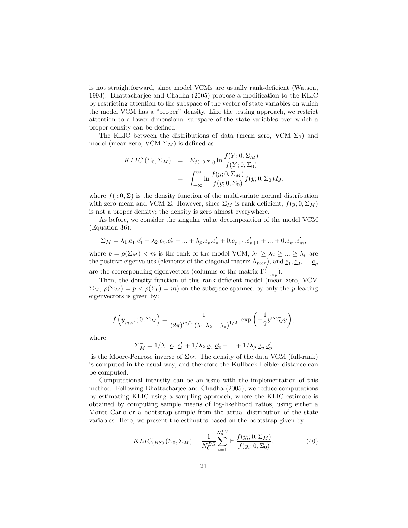is not straightforward, since model VCMs are usually rank-deficient (Watson, 1993). Bhattacharjee and Chadha (2005) propose a modification to the KLIC by restricting attention to the subspace of the vector of state variables on which the model VCM has a "proper" density. Like the testing approach, we restrict attention to a lower dimensional subspace of the state variables over which a proper density can be defined.

The KLIC between the distributions of data (mean zero, VCM  $\Sigma_0$ ) and model (mean zero, VCM  $\Sigma_M$ ) is defined as:

$$
KLIC\left(\Sigma_0, \Sigma_M\right) = E_{f(.;0,\Sigma_0)} \ln \frac{f(Y;0,\Sigma_M)}{f(Y;0,\Sigma_0)}
$$
  
= 
$$
\int_{-\infty}^{\infty} \ln \frac{f(y;0,\Sigma_M)}{f(y;0,\Sigma_0)} f(y;0,\Sigma_0) dy,
$$

where  $f(.; 0, \Sigma)$  is the density function of the multivariate normal distribution with zero mean and VCM  $\Sigma$ . However, since  $\Sigma_M$  is rank deficient,  $f(y; 0, \Sigma_M)$ is not a proper density; the density is zero almost everywhere.

As before, we consider the singular value decomposition of the model VCM (Equation 36):

$$
\Sigma_M = \lambda_1 \cdot \underline{e}_1 \cdot \underline{e}'_1 + \lambda_2 \cdot \underline{e}_2 \cdot \underline{e}'_2 + \ldots + \lambda_p \cdot \underline{e}_p \cdot \underline{e}'_p + 0 \cdot \underline{e}_{p+1} \cdot \underline{e}'_{p+1} + \ldots + 0 \cdot \underline{e}_m \cdot \underline{e}'_m,
$$

where  $p = \rho(\Sigma_M) < m$  is the rank of the model VCM,  $\lambda_1 \geq \lambda_2 \geq ... \geq \lambda_p$  are the positive eigenvalues (elements of the diagonal matrix  $\Lambda_{p\times p}$ ), and  $\underline{e}_1, \underline{e}_2, ..., \underline{e}_p$ are the corresponding eigenvectors (columns of the matrix  $\Gamma'_{1_{m \times p}}$ ).

Then, the density function of this rank-deficient model (mean zero, VCM  $\Sigma_M$ ,  $\rho(\Sigma_M) = p < \rho(\Sigma_0) = m$  on the subspace spanned by only the p leading eigenvectors is given by:

$$
f\left(\underline{y}_{m\times 1}; 0, \Sigma_M\right) = \frac{1}{\left(2\pi\right)^{m/2} \left(\lambda_1.\lambda_2....\lambda_p\right)^{1/2}}.\exp\left(-\frac{1}{2}\underline{y}'\Sigma_M^- \underline{y}\right),
$$

where

$$
\Sigma_M^- = 1/\lambda_1 \cdot \underline{e}_1 \cdot \underline{e}'_1 + 1/\lambda_2 \cdot \underline{e}_2 \cdot \underline{e}'_2 + \dots + 1/\lambda_p \cdot \underline{e}_p \cdot \underline{e}'_p
$$

is the Moore-Penrose inverse of  $\Sigma_M$ . The density of the data VCM (full-rank) is computed in the usual way, and therefore the Kullback-Leibler distance can be computed.

Computational intensity can be an issue with the implementation of this method. Following Bhattacharjee and Chadha (2005), we reduce computations by estimating KLIC using a sampling approach, where the KLIC estimate is obtained by computing sample means of log-likelihood ratios, using either a Monte Carlo or a bootstrap sample from the actual distribution of the state variables. Here, we present the estimates based on the bootstrap given by:

$$
KLIC_{(BS)}\left(\Sigma_0, \Sigma_M\right) = \frac{1}{N_0^{BS}} \sum_{i=1}^{N_0^{BS}} \ln \frac{f(y_i; 0, \Sigma_M)}{f(y_i; 0, \Sigma_0)},\tag{40}
$$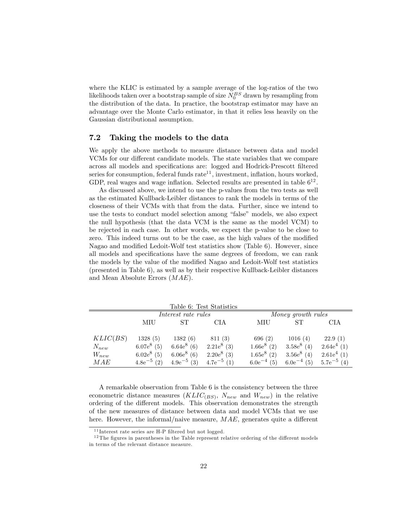where the KLIC is estimated by a sample average of the log-ratios of the two likelihoods taken over a bootstrap sample of size  $N_0^{BS}$  drawn by resampling from the distribution of the data. In practice, the bootstrap estimator may have an advantage over the Monte Carlo estimator, in that it relies less heavily on the Gaussian distributional assumption.

### 7.2 Taking the models to the data

We apply the above methods to measure distance between data and model VCMs for our different candidate models. The state variables that we compare across all models and specifications are: logged and Hodrick-Prescott filtered series for consumption, federal funds  $\text{rate}^{11}$ , investment, inflation, hours worked, GDP, real wages and wage inflation. Selected results are presented in table  $6^{12}$ .

As discussed above, we intend to use the p-values from the two tests as well as the estimated Kullback-Leibler distances to rank the models in terms of the closeness of their VCMs with that from the data. Further, since we intend to use the tests to conduct model selection among "false" models, we also expect the null hypothesis (that the data VCM is the same as the model VCM) to be rejected in each case. In other words, we expect the p-value to be close to zero. This indeed turns out to be the case, as the high values of the modified Nagao and modified Ledoit-Wolf test statistics show (Table 6). However, since all models and specifications have the same degrees of freedom, we can rank the models by the value of the modified Nagao and Ledoit-Wolf test statistics (presented in Table 6), as well as by their respective Kullback-Leibler distances and Mean Absolute Errors (MAE).

|            |                 |                     | Table 6: Test Statistics |                 |                    |                 |
|------------|-----------------|---------------------|--------------------------|-----------------|--------------------|-----------------|
|            |                 | Interest rate rules |                          |                 | Money growth rules |                 |
|            | MIU             | SТ                  | CIA                      | MIU             | <b>ST</b>          | CIA             |
| KLIC(BS)   | 1328(5)         | 1382(6)             | 811(3)                   | 696 $(2)$       | 1016(4)            | 22.9(1)         |
| $N_{new}$  | $6.07e^8(5)$    | $6.64e^8$ (6)       | $2.21e^8$ (3)            | $1.66e^8(2)$    | $3.58e^8$ (4)      | $2.64e^4(1)$    |
| $W_{new}$  | $6.02e^8(5)$    | $6.06e^8(6)$        | $2.20e^8$ (3)            | $1.65e^8(2)$    | $3.56e^8$ (4)      | $2.61e^4(1)$    |
| <b>MAE</b> | $4.8e^{-5}$ (2) | $4.9e^{-5}$ (3)     | $4.7e^{-5}$ (1)          | $6.0e^{-4}$ (5) | $6.0e^{-4}$ (5)    | $5.7e^{-5}$ (4) |

A remarkable observation from Table 6 is the consistency between the three econometric distance measures  $(KLIC_{(BS)}, N_{new}$  and  $W_{new})$  in the relative ordering of the different models. This observation demonstrates the strength of the new measures of distance between data and model VCMs that we use here. However, the informal/naive measure,  $MAE$ , generates quite a different

 $11$  Interest rate series are H-P filtered but not logged.

 $12$ The figures in parentheses in the Table represent relative ordering of the different models in terms of the relevant distance measure.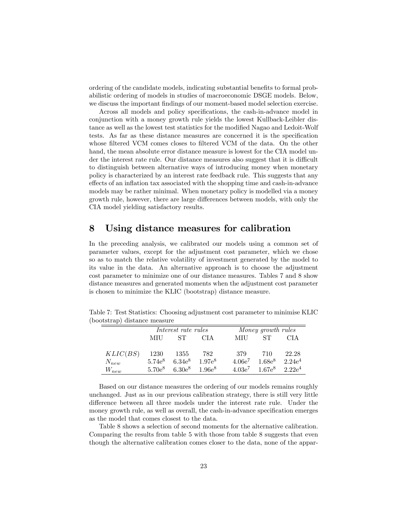ordering of the candidate models, indicating substantial benefits to formal probabilistic ordering of models in studies of macroeconomic DSGE models. Below, we discuss the important findings of our moment-based model selection exercise.

Across all models and policy specifications, the cash-in-advance model in conjunction with a money growth rule yields the lowest Kullback-Leibler distance as well as the lowest test statistics for the modified Nagao and Ledoit-Wolf tests. As far as these distance measures are concerned it is the specification whose filtered VCM comes closes to filtered VCM of the data. On the other hand, the mean absolute error distance measure is lowest for the CIA model under the interest rate rule. Our distance measures also suggest that it is difficult to distinguish between alternative ways of introducing money when monetary policy is characterized by an interest rate feedback rule. This suggests that any effects of an inflation tax associated with the shopping time and cash-in-advance models may be rather minimal. When monetary policy is modelled via a money growth rule, however, there are large differences between models, with only the CIA model yielding satisfactory results.

### 8 Using distance measures for calibration

In the preceding analysis, we calibrated our models using a common set of parameter values, except for the adjustment cost parameter, which we chose so as to match the relative volatility of investment generated by the model to its value in the data. An alternative approach is to choose the adjustment cost parameter to minimize one of our distance measures. Tables 7 and 8 show distance measures and generated moments when the adjustment cost parameter is chosen to minimize the KLIC (bootstrap) distance measure.

|           |             | Interest rate rules |             |           | Money growth rules |                     |
|-----------|-------------|---------------------|-------------|-----------|--------------------|---------------------|
|           | MIU         | ST.                 | CI A        | MIU       | ST.                | CIA                 |
| KLIC(BS)  | 1230        | 1355                | 782         | 379       | 710                | 22.28               |
| $N_{new}$ | $5.74e^{8}$ | $6.34e^{8}$         | $1.97e^{8}$ | $4.06e^7$ | $1.68e^{8}$        | $2.24e^4$           |
| $W_{new}$ | $5.70e^8$   | $6.30e^8$           | $1.96e^{8}$ | $4.03e^7$ |                    | $1.67e^8$ $2.22e^4$ |

Table 7: Test Statistics: Choosing adjustment cost parameter to minimise KLIC (bootstrap) distance measure

Based on our distance measures the ordering of our models remains roughly unchanged. Just as in our previous calibration strategy, there is still very little difference between all three models under the interest rate rule. Under the money growth rule, as well as overall, the cash-in-advance specification emerges as the model that comes closest to the data.

Table 8 shows a selection of second moments for the alternative calibration. Comparing the results from table 5 with those from table 8 suggests that even though the alternative calibration comes closer to the data, none of the appar-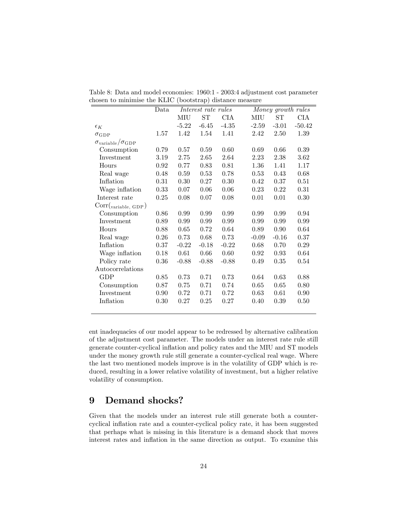| $\sqrt{2}$                               |                                                   |           |            |          |          |         |            |  |  |  |
|------------------------------------------|---------------------------------------------------|-----------|------------|----------|----------|---------|------------|--|--|--|
|                                          | Money growth rules<br>Data<br>Interest rate rules |           |            |          |          |         |            |  |  |  |
|                                          |                                                   | $\rm MIU$ | ${\rm ST}$ | CIA      | MIU      | ST      | <b>CIA</b> |  |  |  |
| $\epsilon_K$                             |                                                   | $-5.22$   | $-6.45$    | $-4.35$  | $-2.59$  | $-3.01$ | $-50.42$   |  |  |  |
| $\sigma_{\rm GDP}$                       | 1.57                                              | 1.42      | 1.54       | 1.41     | 2.42     | 2.50    | 1.39       |  |  |  |
| $\sigma_{\rm variable}/\sigma_{\rm GDP}$ |                                                   |           |            |          |          |         |            |  |  |  |
| Consumption                              | 0.79                                              | 0.57      | 0.59       | 0.60     | 0.69     | 0.66    | 0.39       |  |  |  |
| Investment                               | 3.19                                              | 2.75      | 2.65       | 2.64     | 2.23     | 2.38    | 3.62       |  |  |  |
| Hours                                    | 0.92                                              | 0.77      | 0.83       | 0.81     | $1.36\,$ | 1.41    | 1.17       |  |  |  |
| Real wage                                | 0.48                                              | 0.59      | 0.53       | 0.78     | 0.53     | 0.43    | 0.68       |  |  |  |
| Inflation                                | 0.31                                              | $0.30\,$  | 0.27       | $0.30\,$ | 0.42     | 0.37    | 0.51       |  |  |  |
| Wage inflation                           | 0.33                                              | 0.07      | 0.06       | 0.06     | 0.23     | 0.22    | $\rm 0.31$ |  |  |  |
| Interest rate                            | 0.25                                              | 0.08      | 0.07       | 0.08     | 0.01     | 0.01    | 0.30       |  |  |  |
| Corr( <sub>variable</sub> , GDP)         |                                                   |           |            |          |          |         |            |  |  |  |
| Consumption                              | 0.86                                              | 0.99      | 0.99       | 0.99     | 0.99     | 0.99    | 0.94       |  |  |  |
| Investment                               | 0.89                                              | 0.99      | 0.99       | 0.99     | 0.99     | 0.99    | 0.99       |  |  |  |
| Hours                                    | 0.88                                              | 0.65      | 0.72       | 0.64     | 0.89     | 0.90    | 0.64       |  |  |  |
| Real wage                                | 0.26                                              | 0.73      | 0.68       | 0.73     | $-0.09$  | $-0.16$ | 0.37       |  |  |  |
| Inflation                                | 0.37                                              | $-0.22$   | $-0.18$    | $-0.22$  | 0.68     | 0.70    | 0.29       |  |  |  |
| Wage inflation                           | 0.18                                              | 0.61      | 0.66       | 0.60     | 0.92     | 0.93    | 0.64       |  |  |  |
| Policy rate                              | 0.36                                              | $-0.88$   | $-0.88$    | $-0.88$  | 0.49     | 0.35    | 0.54       |  |  |  |
| Autocorrelations                         |                                                   |           |            |          |          |         |            |  |  |  |
| GDP                                      | 0.85                                              | 0.73      | 0.71       | 0.73     | 0.64     | 0.63    | 0.88       |  |  |  |
| Consumption                              | 0.87                                              | 0.75      | 0.71       | 0.74     | 0.65     | 0.65    | 0.80       |  |  |  |
| Investment                               | 0.90                                              | 0.72      | 0.71       | 0.72     | 0.63     | 0.61    | 0.90       |  |  |  |
| Inflation                                | 0.30                                              | 0.27      | 0.25       | 0.27     | 0.40     | 0.39    | 0.50       |  |  |  |
|                                          |                                                   |           |            |          |          |         |            |  |  |  |

Table 8: Data and model economies: 1960:1 - 2003:4 adjustment cost parameter chosen to minimise the KLIC (bootstrap) distance measure

ent inadequacies of our model appear to be redressed by alternative calibration of the adjustment cost parameter. The models under an interest rate rule still generate counter-cyclical inflation and policy rates and the MIU and ST models under the money growth rule still generate a counter-cyclical real wage. Where the last two mentioned models improve is in the volatility of GDP which is reduced, resulting in a lower relative volatility of investment, but a higher relative volatility of consumption.

## 9 Demand shocks?

Given that the models under an interest rule still generate both a countercyclical ináation rate and a counter-cyclical policy rate, it has been suggested that perhaps what is missing in this literature is a demand shock that moves interest rates and inflation in the same direction as output. To examine this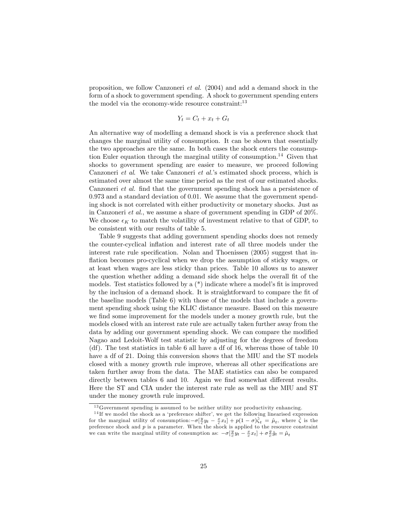proposition, we follow Canzoneri et al. (2004) and add a demand shock in the form of a shock to government spending. A shock to government spending enters the model via the economy-wide resource constraint: $13$ 

$$
Y_t = C_t + x_t + G_t
$$

An alternative way of modelling a demand shock is via a preference shock that changes the marginal utility of consumption. It can be shown that essentially the two approaches are the same. In both cases the shock enters the consumption Euler equation through the marginal utility of consumption.<sup>14</sup> Given that shocks to government spending are easier to measure, we proceed following Canzoneri *et al.* We take Canzoneri *et al.*'s estimated shock process, which is estimated over almost the same time period as the rest of our estimated shocks. Canzoneri *et al.* find that the government spending shock has a persistence of 0.973 and a standard deviation of 0.01. We assume that the government spending shock is not correlated with either productivity or monetary shocks. Just as in Canzoneri et al., we assume a share of government spending in GDP of 20%. We choose  $\epsilon_K$  to match the volatility of investment relative to that of GDP, to be consistent with our results of table 5.

Table 9 suggests that adding government spending shocks does not remedy the counter-cyclical ináation and interest rate of all three models under the interest rate rule specification. Nolan and Thoenissen (2005) suggest that inflation becomes pro-cyclical when we drop the assumption of sticky wages, or at least when wages are less sticky than prices. Table 10 allows us to answer the question whether adding a demand side shock helps the overall fit of the models. Test statistics followed by a  $(*)$  indicate where a model's fit is improved by the inclusion of a demand shock. It is straightforward to compare the Öt of the baseline models (Table 6) with those of the models that include a government spending shock using the KLIC distance measure. Based on this measure we find some improvement for the models under a money growth rule, but the models closed with an interest rate rule are actually taken further away from the data by adding our government spending shock. We can compare the modified Nagao and Ledoit-Wolf test statistic by adjusting for the degrees of freedom (df). The test statistics in table 6 all have a df of 16, whereas those of table 10 have a df of 21. Doing this conversion shows that the MIU and the ST models closed with a money growth rule improve, whereas all other specifications are taken further away from the data. The MAE statistics can also be compared directly between tables 6 and 10. Again we find somewhat different results. Here the ST and CIA under the interest rate rule as well as the MIU and ST under the money growth rule improved.

 $13$  Government spending is assumed to be neither utility nor productivity enhancing.

 $14$  If we model the shock as a 'preference shifter', we get the following linearised expression for the marginal utility of consumption:  $-\sigma[\frac{y}{c}y_t - \frac{x}{c}x_t] + p(1-\sigma)\hat{\zeta}_t = \hat{\mu}_t$ , where  $\hat{\zeta}$  is the preference shock and  $p$  is a parameter. When the shock is applied to the resource constraint we can write the marginal utility of consumption as:  $-\sigma[\frac{y}{c}y_t - \frac{x}{c}x_t] + \sigma \frac{g}{c}\hat{g}_t = \hat{\mu}_t$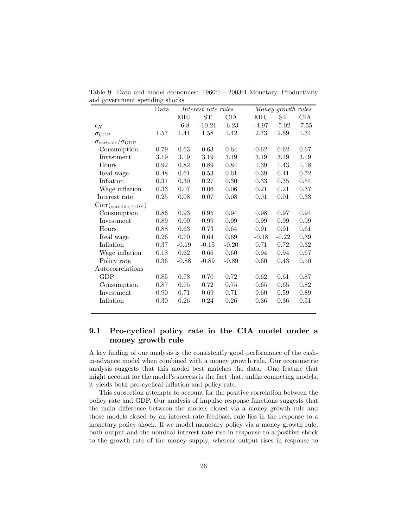|                                          | Data |         | Interest rate rules |         |         | Money growth rules |            |
|------------------------------------------|------|---------|---------------------|---------|---------|--------------------|------------|
|                                          |      | MIU     | <b>ST</b>           | CIA     | MIU     | <b>ST</b>          | <b>CIA</b> |
| $\epsilon_K$                             |      | $-6.8$  | $-10.21$            | $-6.23$ | $-4.97$ | $-5.02$            | $-7.55$    |
| $\sigma_{\rm GDP}$                       | 1.57 | 1.41    | 1.58                | 1.42    | 2.73    | 2.69               | 1.34       |
| $\sigma_{\rm variable}/\sigma_{\rm GDP}$ |      |         |                     |         |         |                    |            |
| Consumption                              | 0.79 | 0.63    | 0.63                | 0.64    | 0.62    | 0.62               | 0.67       |
| Investment                               | 3.19 | 3.19    | 3.19                | 3.19    | 3.19    | 3.19               | 3.19       |
| Hours                                    | 0.92 | 0.82    | 0.89                | 0.84    | 1.39    | 1.43               | 1.18       |
| Real wage                                | 0.48 | 0.61    | 0.53                | 0.61    | 0.39    | 0.41               | 0.72       |
| Inflation                                | 0.31 | 0.30    | 0.27                | 0.30    | 0.33    | 0.35               | 0.54       |
| Wage inflation                           | 0.33 | 0.07    | 0.06                | 0.06    | 0.21    | 0.21               | 0.37       |
| Interest rate                            | 0.25 | 0.08    | 0.07                | 0.08    | 0.01    | 0.01               | 0.33       |
| Corr( <sub>variable</sub> , GDP)         |      |         |                     |         |         |                    |            |
| Consumption                              | 0.86 | 0.93    | 0.95                | 0.94    | 0.98    | 0.97               | 0.94       |
| Investment                               | 0.89 | 0.99    | 0.99                | 0.99    | 0.99    | 0.99               | 0.99       |
| Hours                                    | 0.88 | 0.63    | 0.73                | 0.64    | 0.91    | 0.91               | 0.61       |
| Real wage                                | 0.26 | 0.70    | 0.64                | 0.69    | $-0.18$ | $-0.22$            | 0.39       |
| Inflation                                | 0.37 | $-0.19$ | $-0.15$             | $-0.20$ | 0.71    | 0.72               | 0.32       |
| Wage inflation                           | 0.18 | 0.62    | 0.66                | 0.60    | 0.94    | 0.94               | 0.67       |
| Policy rate                              | 0.36 | $-0.88$ | $-0.89$             | $-0.89$ | 0.60    | 0.43               | 0.50       |
| Autocorrelations                         |      |         |                     |         |         |                    |            |
| <b>GDP</b>                               | 0.85 | 0.73    | 0.70                | 0.72    | 0.62    | 0.61               | 0.87       |
| Consumption                              | 0.87 | 0.75    | 0.72                | 0.75    | 0.65    | 0.65               | 0.82       |
| Investment                               | 0.90 | 0.71    | 0.69                | 0.71    | 0.60    | 0.59               | 0.89       |
| Inflation                                | 0.30 | 0.26    | 0.24                | 0.26    | 0.36    | 0.36               | 0.51       |
|                                          |      |         |                     |         |         |                    |            |

Table 9: Data and model economies: 1960:1 - 2003:4 Monetary, Productivity and government spending shocks

### 9.1 Pro-cyclical policy rate in the CIA model under a money growth rule

A key finding of our analysis is the consistently good performance of the cashin-advance model when combined with a money growth rule. Our econometric analysis suggests that this model best matches the data. One feature that might account for the model's success is the fact that, unlike competing models, it yields both pro-cyclical inflation and policy rate.

This subsection attempts to account for the positive correlation between the policy rate and GDP. Our analysis of impulse response functions suggests that the main difference between the models closed via a money growth rule and those models closed by an interest rate feedback rule lies in the response to a monetary policy shock. If we model monetary policy via a money growth rule, both output and the nominal interest rate rise in response to a positive shock to the growth rate of the money supply, whereas output rises in response to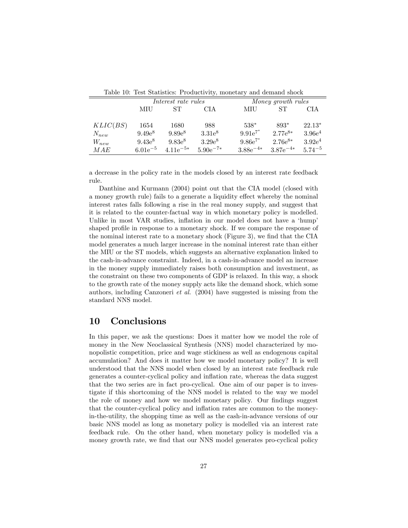|           | Table IV: Test Statistics: Productivity, monetary and demand snock |                     |               |               |                    |             |  |  |  |
|-----------|--------------------------------------------------------------------|---------------------|---------------|---------------|--------------------|-------------|--|--|--|
|           |                                                                    | Interest rate rules |               |               | Money growth rules |             |  |  |  |
|           | MIU                                                                | <b>ST</b>           | CIA           | MIU           | <b>ST</b>          | CIA         |  |  |  |
| KLIC(BS)  | 1654                                                               | 1680                | 988           | $538*$        | 893*               | $22.13*$    |  |  |  |
| $N_{new}$ | $9.49e^8$                                                          | $9.89e^{8}$         | $3.31e^{8}$   | $9.91e^{7*}$  | $2.77e^{8*}$       | $3.96e^4$   |  |  |  |
| $W_{new}$ | $9.43e^{8}$                                                        | $9.83e^{8}$         | $3.29e^{8}$   | $9.86e^{7*}$  | $2.76e^{8*}$       | $3.92e^4$   |  |  |  |
| МAE       | $6.01e^{-5}$                                                       | 4.11 $e^{-5*}$      | $5.90e^{-7*}$ | $3.88e^{-4*}$ | $3.87e^{-4*}$      | $5.74^{-5}$ |  |  |  |

Table 10: Test Statistics: Productivity, monetary and demand shock

a decrease in the policy rate in the models closed by an interest rate feedback rule.

Danthine and Kurmann (2004) point out that the CIA model (closed with a money growth rule) fails to a generate a liquidity effect whereby the nominal interest rates falls following a rise in the real money supply, and suggest that it is related to the counter-factual way in which monetary policy is modelled. Unlike in most VAR studies, inflation in our model does not have a 'hump' shaped profile in response to a monetary shock. If we compare the response of the nominal interest rate to a monetary shock (Figure 3), we find that the CIA model generates a much larger increase in the nominal interest rate than either the MIU or the ST models, which suggests an alternative explanation linked to the cash-in-advance constraint. Indeed, in a cash-in-advance model an increase in the money supply immediately raises both consumption and investment, as the constraint on these two components of GDP is relaxed. In this way, a shock to the growth rate of the money supply acts like the demand shock, which some authors, including Canzoneri et al. (2004) have suggested is missing from the standard NNS model.

### 10 Conclusions

In this paper, we ask the questions: Does it matter how we model the role of money in the New Neoclassical Synthesis (NNS) model characterized by monopolistic competition, price and wage stickiness as well as endogenous capital accumulation? And does it matter how we model monetary policy? It is well understood that the NNS model when closed by an interest rate feedback rule generates a counter-cyclical policy and ináation rate, whereas the data suggest that the two series are in fact pro-cyclical. One aim of our paper is to investigate if this shortcoming of the NNS model is related to the way we model the role of money and how we model monetary policy. Our findings suggest that the counter-cyclical policy and ináation rates are common to the moneyin-the-utility, the shopping time as well as the cash-in-advance versions of our basic NNS model as long as monetary policy is modelled via an interest rate feedback rule. On the other hand, when monetary policy is modelled via a money growth rate, we find that our NNS model generates pro-cyclical policy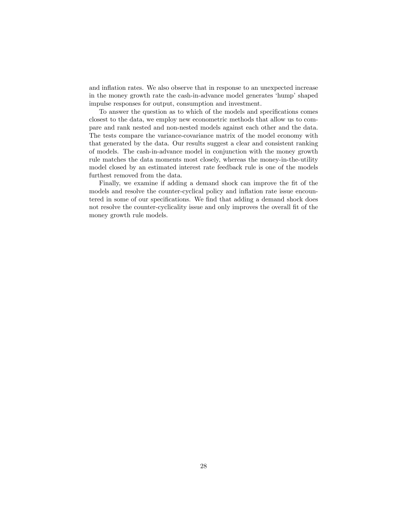and inflation rates. We also observe that in response to an unexpected increase in the money growth rate the cash-in-advance model generates 'hump' shaped impulse responses for output, consumption and investment.

To answer the question as to which of the models and specifications comes closest to the data, we employ new econometric methods that allow us to compare and rank nested and non-nested models against each other and the data. The tests compare the variance-covariance matrix of the model economy with that generated by the data. Our results suggest a clear and consistent ranking of models. The cash-in-advance model in conjunction with the money growth rule matches the data moments most closely, whereas the money-in-the-utility model closed by an estimated interest rate feedback rule is one of the models furthest removed from the data.

Finally, we examine if adding a demand shock can improve the fit of the models and resolve the counter-cyclical policy and ináation rate issue encountered in some of our specifications. We find that adding a demand shock does not resolve the counter-cyclicality issue and only improves the overall fit of the money growth rule models.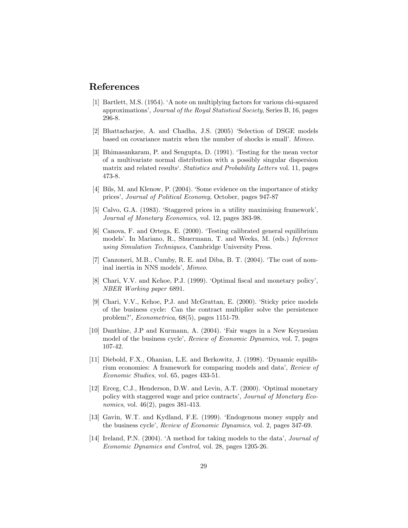### References

- [1] Bartlett, M.S. (1954). ëA note on multiplying factors for various chi-squared approximations', Journal of the Royal Statistical Society, Series B, 16, pages 296-8.
- [2] Bhattacharjee, A. and Chadha, J.S. (2005) 'Selection of DSGE models based on covariance matrix when the number of shocks is small'. Mimeo.
- [3] Bhimasankaram, P. and Sengupta, D. (1991). Testing for the mean vector of a multivariate normal distribution with a possibly singular dispersion matrix and related results'. Statistics and Probability Letters vol. 11, pages 473-8.
- [4] Bils, M. and Klenow, P. (2004). Some evidence on the importance of sticky pricesí, Journal of Political Economy, October, pages 947-87
- [5] Calvo, G.A. (1983). 'Staggered prices in a utility maximising framework', Journal of Monetary Economics, vol. 12, pages 383-98.
- [6] Canova, F. and Ortega, E. (2000). ëTesting calibrated general equilibrium models'. In Mariano, R., Shuermann, T. and Weeks, M. (eds.) Inference using Simulation Techniques, Cambridge University Press.
- [7] Canzoneri, M.B., Cumby, R. E. and Diba, B. T. (2004). ëThe cost of nominal inertia in NNS models', Mimeo.
- [8] Chari, V.V. and Kehoe, P.J. (1999). 'Optimal fiscal and monetary policy', NBER Working paper 6891.
- [9] Chari, V.V., Kehoe, P.J. and McGrattan, E. (2000). ëSticky price models of the business cycle: Can the contract multiplier solve the persistence problem?', *Econometrica*, 68(5), pages 1151-79.
- [10] Danthine, J.P and Kurmann, A. (2004). ëFair wages in a New Keynesian model of the business cycle', Review of Economic Dynamics, vol. 7, pages 107-42.
- [11] Diebold, F.X., Ohanian, L.E. and Berkowitz, J. (1998). ëDynamic equilibrium economies: A framework for comparing models and dataí, Review of Economic Studies, vol. 65, pages 433-51.
- [12] Erceg, C.J., Henderson, D.W. and Levin, A.T. (2000). 'Optimal monetary policy with staggered wage and price contracts', Journal of Monetary Economics, vol. 46(2), pages 381-413.
- [13] Gavin, W.T. and Kydland, F.E. (1999). ëEndogenous money supply and the business cycle', Review of Economic Dynamics, vol. 2, pages 347-69.
- [14] Ireland, P.N. (2004). A method for taking models to the data', *Journal of* Economic Dynamics and Control, vol. 28, pages 1205-26.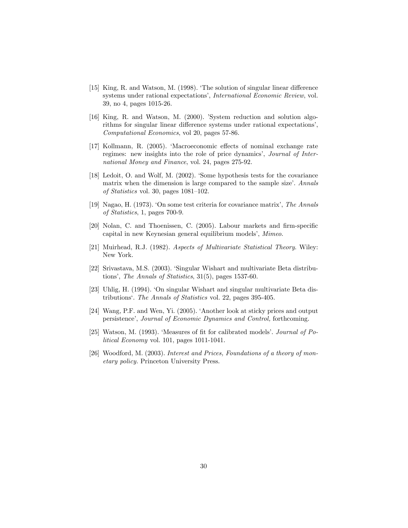- [15] King, R. and Watson, M. (1998). The solution of singular linear difference systems under rational expectations', International Economic Review, vol. 39, no 4, pages 1015-26.
- [16] King, R. and Watson, M. (2000). 'System reduction and solution algorithms for singular linear difference systems under rational expectations', Computational Economics, vol 20, pages 57-86.
- [17] Kollmann, R. (2005). 'Macroeconomic effects of nominal exchange rate regimes: new insights into the role of price dynamics', *Journal of Inter*national Money and Finance, vol. 24, pages 275-92.
- [18] Ledoit, O. and Wolf, M. (2002). Some hypothesis tests for the covariance matrix when the dimension is large compared to the sample size'. Annals of Statistics vol. 30, pages  $1081-102$ .
- [19] Nagao, H. (1973). ëOn some test criteria for covariance matrixí, The Annals of Statistics, 1, pages 700-9.
- [20] Nolan, C. and Thoenissen, C. (2005). Labour markets and firm-specific capital in new Keynesian general equilibrium models', Mimeo.
- [21] Muirhead, R.J. (1982). Aspects of Multivariate Statistical Theory. Wiley: New York.
- [22] Srivastava, M.S. (2003). ëSingular Wishart and multivariate Beta distributions', The Annals of Statistics,  $31(5)$ , pages 1537-60.
- [23] Uhlig, H. (1994). 'On singular Wishart and singular multivariate Beta distributionsë. The Annals of Statistics vol. 22, pages 395-405.
- [24] Wang, P.F. and Wen, Yi. (2005). ëAnother look at sticky prices and output persistence', Journal of Economic Dynamics and Control, forthcoming.
- [25] Watson, M.  $(1993)$ . 'Measures of fit for calibrated models'. *Journal of Po*litical Economy vol. 101, pages 1011-1041.
- [26] Woodford, M. (2003). Interest and Prices, Foundations of a theory of monetary policy. Princeton University Press.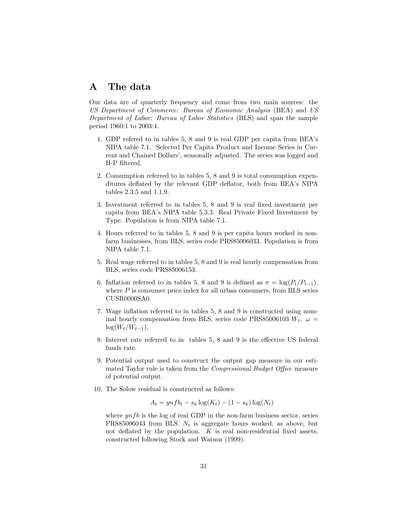### A The data

Our data are of quarterly frequency and come from two main sources: the US Department of Commerce: Bureau of Economic Analysis (BEA) and US Department of Labor: Bureau of Labor Statistics (BLS) and span the sample period 1960:1 to 2003:4.

- 1. GDP refered to in tables 5, 8 and 9 is real GDP per capita from BEAís NIPA table 7.1. ëSelected Per Capita Product and Income Series in Current and Chained Dollars', seasonally adjusted. The series was logged and H-P filtered.
- 2. Consumption referred to in tables 5, 8 and 9 is total consumption expenditures deflated by the relevant GDP deflator, both from BEA's NIPA tables 2.3.5 and 1.1.9.
- 3. Investment referred to in tables 5, 8 and 9 is real Öxed investment per capita from BEAís NIPA table 5.3.3. Real Private Fixed Investment by Type. Population is from NIPA table 7.1.
- 4. Hours referred to in tables 5, 8 and 9 is per capita hours worked in nonfarm businesses, from BLS, series code PRS85006033. Population is from NIPA table 7.1.
- 5. Real wage referred to in tables 5, 8 and 9 is real hourly compensation from BLS, series code PRS85006153.
- 6. Inflation referred to in tables 5, 8 and 9 is defined as  $\pi = \log(P_t/P_{t-1}),$ where  $P$  is consumer price index for all urban consumers, from BLS series CUSR0000SA0.
- 7. Wage inflation referred to in tables 5, 8 and 9 is constructed using nominal hourly compensation from BLS, series code PRS85006103  $W_t$ .  $\omega =$  $\log(W_t/W_{t-1}).$
- 8. Interest rate referred to in tables  $5, 8$  and  $9$  is the effective US federal funds rate.
- 9. Potential output used to construct the output gap measure in our estimated Taylor rule is taken from the *Congressional Budget Office* measure of potential output.
- 10. The Solow residual is constructed as follows:

$$
A_t = ynfb_t - s_k \log(K_t) - (1 - s_k) \log(N_t)
$$

where  $ynfb$  is the log of real GDP in the non-farm business sector, series PRS85006043 from BLS.  $N_t$  is aggregate hours worked, as above, but not deflated by the population.  $K$  is real non-residential fixed assets, constructed following Stock and Watson (1999).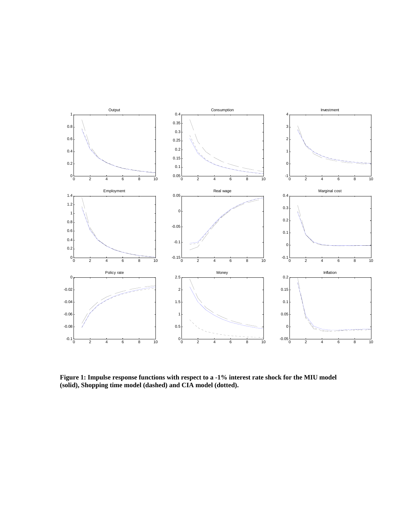

**Figure 1: Impulse response functions with respect to a -1% interest rate shock for the MIU model (solid), Shopping time model (dashed) and CIA model (dotted).**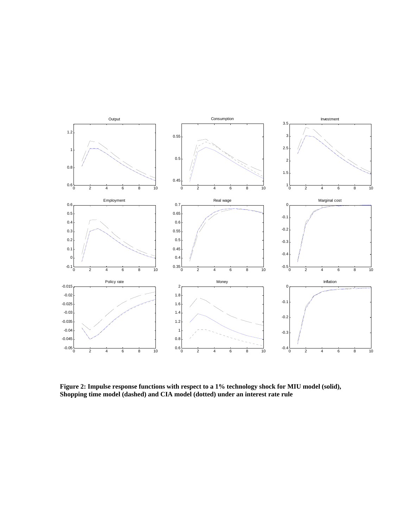

**Figure 2: Impulse response functions with respect to a 1% technology shock for MIU model (solid), Shopping time model (dashed) and CIA model (dotted) under an interest rate rule**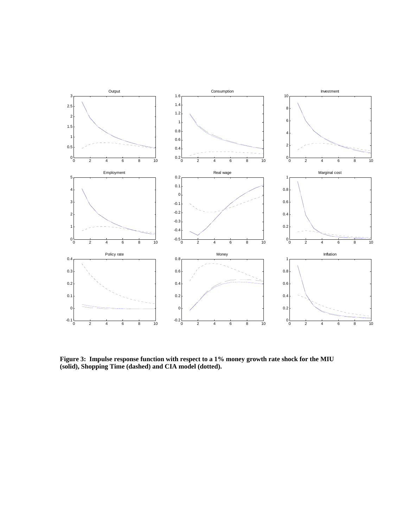

**Figure 3: Impulse response function with respect to a 1% money growth rate shock for the MIU (solid), Shopping Time (dashed) and CIA model (dotted).**